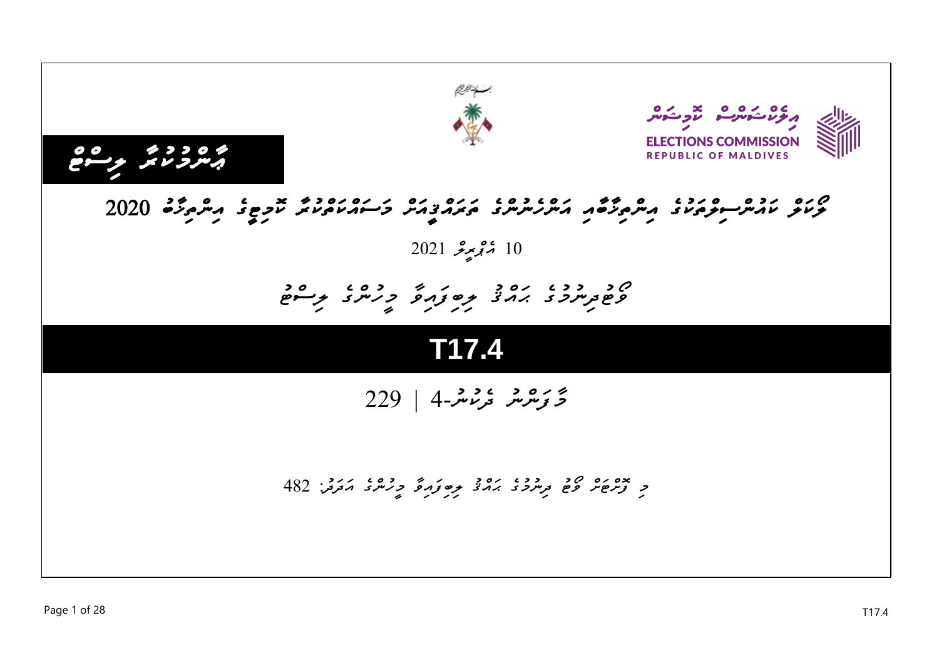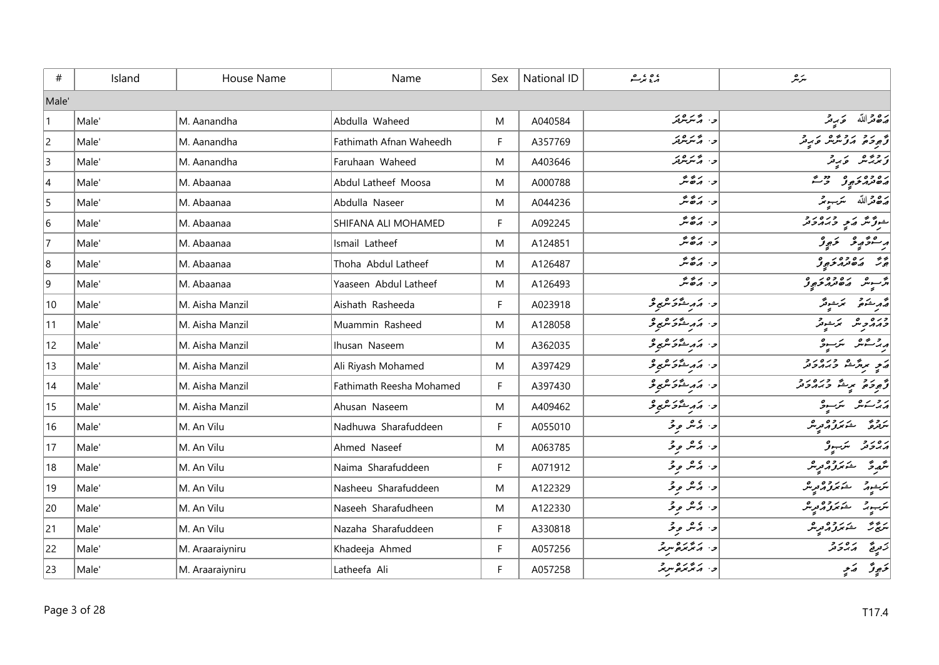| #              | Island | House Name      | Name                     | Sex | National ID | ، ه ، بر <u>م</u>                   | ىئرىتر                                                                                                         |
|----------------|--------|-----------------|--------------------------|-----|-------------|-------------------------------------|----------------------------------------------------------------------------------------------------------------|
| Male'          |        |                 |                          |     |             |                                     |                                                                                                                |
|                | Male'  | M. Aanandha     | Abdulla Waheed           | M   | A040584     | وسيحسر صمر                          | رەقلەللە ھەيقر                                                                                                 |
| $\overline{2}$ | Male'  | M. Aanandha     | Fathimath Afnan Waheedh  | F   | A357769     | د <i>به مگر شر</i> گر               | و و د و مروش و د د                                                                                             |
| $\vert$ 3      | Male'  | M. Aanandha     | Faruhaan Waheed          | M   | A403646     | د <i>به مگرمگر</i> فر               | و وو ه ر و د                                                                                                   |
| $\vert 4$      | Male'  | M. Abaanaa      | Abdul Latheef Moosa      | M   | A000788     | د . رَهُ شَ                         | ג 2000 - 2009 - 2009 - 2009 - 2009 - 2009 - 2009 - 2009 - 2009 - 2009 - 2009 - 2009 - 2009 - 2009 - 2009 - 200 |
| $\overline{5}$ | Male'  | M. Abaanaa      | Abdulla Naseer           | M   | A044236     | ە بە ئەھ                            | رەقمەللە سەببوتمە                                                                                              |
| $\overline{6}$ | Male'  | M. Abaanaa      | SHIFANA ALI MOHAMED      | F   | A092245     | د . رَهُ شَ                         | جوژنگر ويو دره درد                                                                                             |
| $\vert$ 7      | Male'  | M. Abaanaa      | Ismail Latheef           | M   | A124851     | د . مرځ ش                           | برحوم ويوو                                                                                                     |
| 8              | Male'  | M. Abaanaa      | Thoha Abdul Latheef      | M   | A126487     | د . رَهُ سَ                         | 22 10201 22                                                                                                    |
| 9              | Male'  | M. Abaanaa      | Yaaseen Abdul Latheef    | M   | A126493     | د . رَهُ شَ                         | گرسوس مەھەم مەھم                                                                                               |
| 10             | Male'  | M. Aisha Manzil | Aishath Rasheeda         | F   | A023918     | ى ئەرشۇ <i>ر شىرى</i> گى            | أقهر مشكرة المتمر تكريد                                                                                        |
| 11             | Male'  | M. Aisha Manzil | Muammin Rasheed          | M   | A128058     | ى <i>بە</i> ر شەكەش <sub>ى</sub> بى | وأكرو والكر المراشوقر                                                                                          |
| 12             | Male'  | M. Aisha Manzil | Ihusan Naseem            | M   | A362035     | د· مەرىشۇر ئىرىمى ئى                | ەر ئەسكەش سەسبوق                                                                                               |
| 13             | Male'  | M. Aisha Manzil | Ali Riyash Mohamed       | M   | A397429     | د <i>. مَهر څ</i> وکره پولو         | ג׳בְ תְתֹבּי בְתְתֵכִת                                                                                         |
| 14             | Male'  | M. Aisha Manzil | Fathimath Reesha Mohamed | F   | A397430     | <sub>ى: مەم</sub> شۇر ئىرىمى ئى     | و و د و پرځ وړه د و                                                                                            |
| 15             | Male'  | M. Aisha Manzil | Ahusan Naseem            | M   | A409462     | د <i>. مَهر څ</i> وکره پولو         | أربر مسكرها الكرسور                                                                                            |
| 16             | Male'  | M. An Vilu      | Nadhuwa Sharafuddeen     | F   | A055010     | د· گړنګر و څر                       | ر و و در وه در و.<br>مرکزهٔ شوبرو در در                                                                        |
| 17             | Male'  | M. An Vilu      | Ahmed Naseef             | M   | A063785     | <sub>و</sub> . ړی <sub>م</sub> وتو  | رەرو شەرى                                                                                                      |
| 18             | Male'  | M. An Vilu      | Naima Sharafuddeen       | F   | A071912     | <sub>و</sub> . ړیر ویځ              | شەر شىروەر                                                                                                     |
| 19             | Male'  | M. An Vilu      | Nasheeu Sharafuddeen     | M   | A122329     | و. ړېژ وخ                           | لترجيز المشترور ويرمر                                                                                          |
| 20             | Male'  | M. An Vilu      | Naseeh Sharafudheen      | M   | A122330     | د. ړېر وقه                          | .<br>ئىزبور شىكىۋە قرىش                                                                                        |
| 21             | Male'  | M. An Vilu      | Nazaha Sharafuddeen      | F   | A330818     | - ممبر وقر                          | ىر مەسىر مەمرەر بىر بىر<br>سىنجاب سىسىر <i>ۋەر</i> بىر                                                         |
| 22             | Male'  | M. Araaraiyniru | Khadeeja Ahmed           | F   | A057256     | د . رکمبر کاره د بر                 | زَمْرِيحٌ كَمَارُوْتَر                                                                                         |
| 23             | Male'  | M. Araaraiyniru | Latheefa Ali             | F   | A057258     | - ريزېږه سرچ                        | تزبوژ اړم                                                                                                      |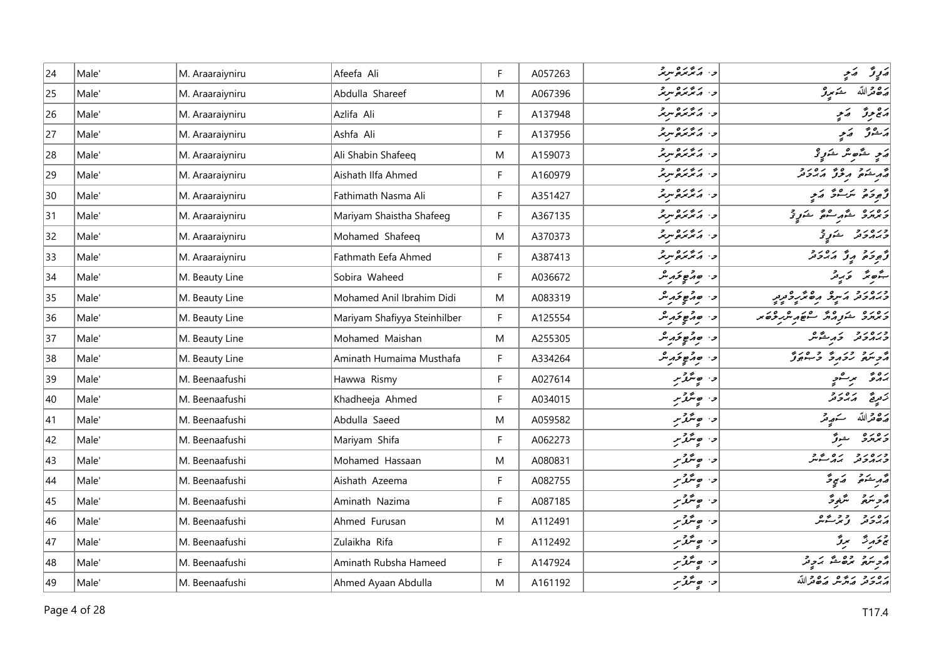| 24 | Male' | M. Araaraiyniru | Afeefa Ali                   | F         | A057263 | و٠ ٦ ټر ټره سرچر                    | ړ په کام                                       |
|----|-------|-----------------|------------------------------|-----------|---------|-------------------------------------|------------------------------------------------|
| 25 | Male' | M. Araaraiyniru | Abdulla Shareef              | ${\sf M}$ | A067396 | و . م تر تره مربر                   | برە دالله شەيرو                                |
| 26 | Male' | M. Araaraiyniru | Azlifa Ali                   | F         | A137948 | د . م نگرېزه سربر                   | أرجع وقر                                       |
| 27 | Male' | M. Araaraiyniru | Ashfa Ali                    | F         | A137956 | د . رنوره سربر                      | أرشوش أرمي                                     |
| 28 | Male' | M. Araaraiyniru | Ali Shabin Shafeeq           | M         | A159073 | د . م نگرېزه سرچ                    | ړې شوه شوږ                                     |
| 29 | Male' | M. Araaraiyniru | Aishath Ilfa Ahmed           | F         | A160979 | د . رکمنده مربز                     | ה<br>הקיבודים היציר המכת                       |
| 30 | Male' | M. Araaraiyniru | Fathimath Nasma Ali          | F         | A351427 | د · م نگرېزه سرچ                    |                                                |
| 31 | Male' | M. Araaraiyniru | Mariyam Shaistha Shafeeg     | F         | A367135 | و . م تر تره مربر                   | و مركز سگر سكر مكروتي                          |
| 32 | Male' | M. Araaraiyniru | Mohamed Shafeeq              | ${\sf M}$ | A370373 | و٠ ٦ ټر ټره سرچي                    | ورەر ئىستۇر ق                                  |
| 33 | Male' | M. Araaraiyniru | Fathmath Eefa Ahmed          | F         | A387413 | و٠ ٦ ټر ټره سرچ                     | توجدة مق مدورة                                 |
| 34 | Male' | M. Beauty Line  | Sobira Waheed                | F         | A036672 | د وړه پورېګر                        | بەھ ئە ئەبەتر                                  |
| 35 | Male' | M. Beauty Line  | Mohamed Anil Ibrahim Didi    | ${\sf M}$ | A083319 | <sub>و: ھِ</sub> رۡھٍ مَدۡدِ شَ     | ورەرو كەيدۇ. مەھكرىك ئوير                      |
| 36 | Male' | M. Beauty Line  | Mariyam Shafiyya Steinhilber | F         | A125554 | د. ھِ مُ ھِ مُ مِرْ مُر             | גם גם בינהה כבן ספיד                           |
| 37 | Male' | M. Beauty Line  | Mohamed Maishan              | M         | A255305 | د وړه څوړ ش                         | ورەرو كەشگە                                    |
| 38 | Male' | M. Beauty Line  | Aminath Humaima Musthafa     | F         | A334264 | د وړېڅرمرنګر                        | أأوسم روارة ومنهور                             |
| 39 | Male' | M. Beenaafushi  | Hawwa Rismy                  | F         | A027614 | ح <sup>.</sup> ھٍ مُرْتَرِ مِر      | پروی پر شوچ                                    |
| 40 | Male' | M. Beenaafushi  | Khadheeja Ahmed              | F         | A034015 | ح <sup>.</sup> ھٍ مُرْتَرِ مِر      | تزمريع   مرور و                                |
| 41 | Male' | M. Beenaafushi  | Abdulla Saeed                | M         | A059582 | ح <sup>.</sup> ھٍ مُرْتَرِ مِر      | پرځ قمرالله<br>سكهرتر                          |
| 42 | Male' | M. Beenaafushi  | Mariyam Shifa                | F         | A062273 | د <sub>، ھ</sub> ِسُّڏس             | ر ه ر ه<br>د بربرگ<br>شەرگە                    |
| 43 | Male' | M. Beenaafushi  | Mohamed Hassaan              | M         | A080831 | ح <sup>.</sup> ھٍ مُتَوَسِّر        | برە ئەشر<br>و ر ه ر د<br>تر پر ژ تر            |
| 44 | Male' | M. Beenaafushi  | Aishath Azeema               | F         | A082755 | <sub>د</sub> . ھٍ مَثَّوْسِ         | أمار مندة أمام وأنباح                          |
| 45 | Male' | M. Beenaafushi  | Aminath Nazima               | F         | A087185 | د· ھٍ مُتَوَّمِّر                   | أأزجر سترفد والمتفرقة                          |
| 46 | Male' | M. Beenaafushi  | Ahmed Furusan                | M         | A112491 | ح <sup>.</sup> ھٍ مُزَوْمِرِ        | بر ٥ پر و<br>مربر <del>و</del> تر<br>ۇ ئر ئەشر |
| 47 | Male' | M. Beenaafushi  | Zulaikha Rifa                | F         | A112492 | ح <sup>.</sup> ھٍ مُزَوْمِرِ        | ة يحم <sup>ون</sup> موقر                       |
| 48 | Male' | M. Beenaafushi  | Aminath Rubsha Hameed        | F         | A147924 | <sub>د ۱</sub> ھ <sub>ی</sub> تروپر | أأرمره وهفظ بروير                              |
| 49 | Male' | M. Beenaafushi  | Ahmed Ayaan Abdulla          | ${\sf M}$ | A161192 | ح <sup>.</sup> ھٍ مُتَوَسِّر        | بره برو بروه بره و الله                        |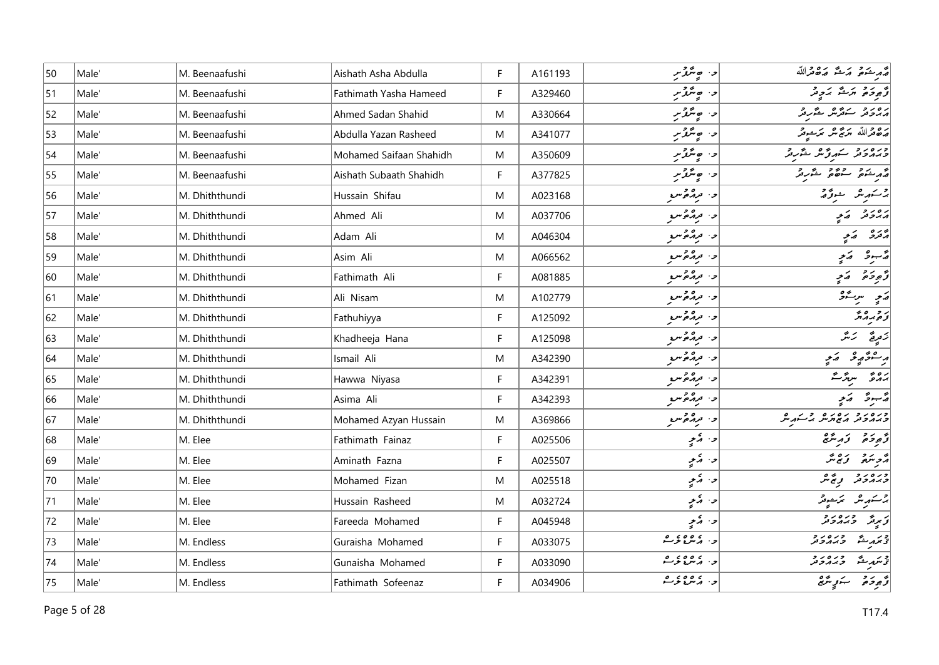| 50 | Male' | M. Beenaafushi | Aishath Asha Abdulla    | F         | A161193 | <sub>د ۱</sub> ھِتَّرْسِ                   | قم مشمع منشر وده مرالله                            |
|----|-------|----------------|-------------------------|-----------|---------|--------------------------------------------|----------------------------------------------------|
| 51 | Male' | M. Beenaafushi | Fathimath Yasha Hameed  | F         | A329460 | <sub>د ۱</sub> ھِنَّدْ مِر                 | توجوج الراشي كالمحيض                               |
| 52 | Male' | M. Beenaafushi | Ahmed Sadan Shahid      | M         | A330664 | <sub>د ۱</sub> ھ <sub>ی</sub> ترو مر       | رەرد رەرە ھەر                                      |
| 53 | Male' | M. Beenaafushi | Abdulla Yazan Rasheed   | M         | A341077 | <sub>د ۱</sub> ھ <sub>ی</sub> تروپر        | رە قراللە مەنج مىر مەنسوتىر                        |
| 54 | Male' | M. Beenaafushi | Mohamed Saifaan Shahidh | M         | A350609 | <sub>د ۱</sub> ھِتَّرْسِ                   | ورەرو سەرۇش ئەرە                                   |
| 55 | Male' | M. Beenaafushi | Aishath Subaath Shahidh | F         | A377825 | <sub>و</sub> . ھ <sub>ِ</sub> مُرْتَزِّىرِ |                                                    |
| 56 | Male' | M. Dhiththundi | Hussain Shifau          | M         | A023168 | و· مرورهم سو                               | چرىكىرىش سوۋە                                      |
| 57 | Male' | M. Dhiththundi | Ahmed Ali               | ${\sf M}$ | A037706 | و· مرورهمبر                                | د د د د په په                                      |
| 58 | Male' | M. Dhiththundi | Adam Ali                | M         | A046304 | و· مرړه وسو                                | أرمزو أياسي                                        |
| 59 | Male' | M. Dhiththundi | Asim Ali                | M         | A066562 | و· تروگو سو <sub>ر</sub>                   | لقرسوه<br>ەكىپىيە                                  |
| 60 | Male' | M. Dhiththundi | Fathimath Ali           | F         | A081885 | و· مرورځ سو <sub>ر</sub>                   | وٌمورَم                                            |
| 61 | Male' | M. Dhiththundi | Ali Nisam               | M         | A102779 | و وروه تر مو                               | ړې سرچينې<br>مړينې                                 |
| 62 | Male' | M. Dhiththundi | Fathuhiyya              | F         | A125092 | و· تروگو سو <sub>ر</sub>                   |                                                    |
| 63 | Male' | M. Dhiththundi | Khadheeja Hana          | F         | A125098 | و· تروه و سو <sub>ر</sub>                  | زَمْرِيحٌ کَنگر                                    |
| 64 | Male' | M. Dhiththundi | Ismail Ali              | ${\sf M}$ | A342390 | و· مرورهمبر                                | برڪرتمبر ترم                                       |
| 65 | Male' | M. Dhiththundi | Hawwa Niyasa            | F         | A342391 | و <sub>ا</sub> مرده هم سو                  | برەپچ<br>سربر محمد                                 |
| 66 | Male' | M. Dhiththundi | Asima Ali               | F         | A342393 | و· مرور هم سو                              | لأسوق اركمي                                        |
| 67 | Male' | M. Dhiththundi | Mohamed Azyan Hussain   | M         | A369866 | د · مره ه همبو <sub>م</sub>                | כנסגב גםגם בי התיית.<br>בגהכת האתיית גייתיית       |
| 68 | Male' | M. Elee        | Fathimath Fainaz        | F         | A025506 | د کمنو                                     | أقهوخاه أقراشي                                     |
| 69 | Male' | M. Elee        | Aminath Fazna           | F         | A025507 | د . مړم په                                 | تزوينهم وكالثر                                     |
| 70 | Male' | M. Elee        | Mohamed Fizan           | M         | A025518 | د کمبر                                     | ورەرو پەش                                          |
| 71 | Male' | M. Elee        | Hussain Rasheed         | M         | A032724 | د کم په                                    | برسكهر مكرشوند                                     |
| 72 | Male' | M. Elee        | Fareeda Mohamed         | F         | A045948 | احق وعمير                                  | ترىرىگە ئەتەر ئەر                                  |
| 73 | Male' | M. Endless     | Guraisha Mohamed        | F         | A033075 | ى ئەھمەمىي ھ                               | ور دره دره در<br>تح <i>مد شهر در در</i>            |
| 74 | Male' | M. Endless     | Gunaisha Mohamed        | F         | A033090 | ى ئەمۋە ئەھ                                | و ره ر و<br>تر پر ژ تر<br>چ سرم شگر<br>تو سرم مشگر |
| 75 | Male' | M. Endless     | Fathimath Sofeenaz      | F         | A034906 | <sub>د</sub> . برى <i>تى</i> ئۇ شە         | ۇۋۇۋە سەرپىدى                                      |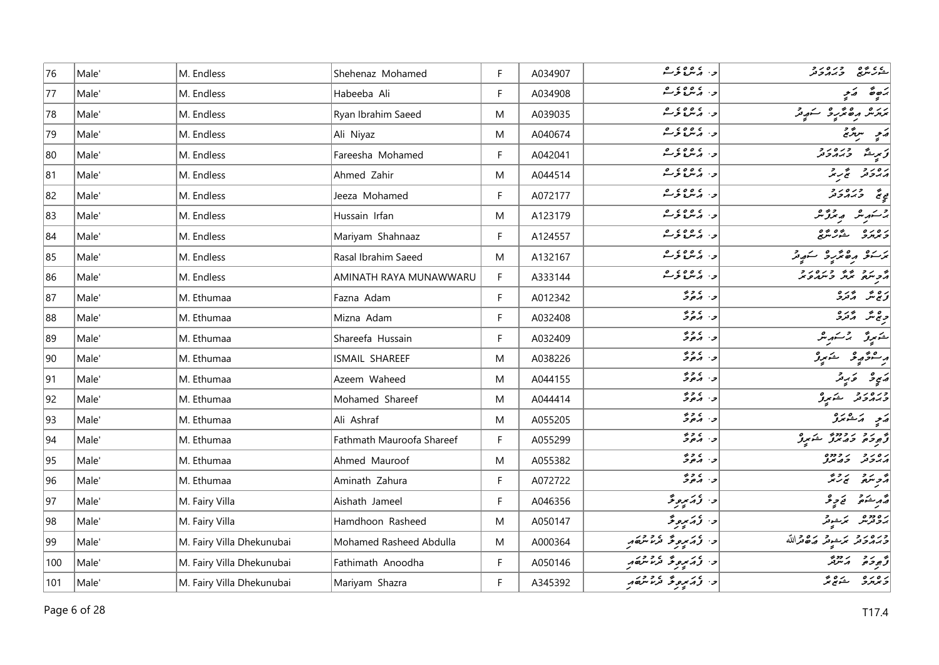| 76  | Male' | M. Endless                | Shehenaz Mohamed          | F         | A034907 | ى ئەمرە ئۇرم                                                                                      | ك ديره دره دو                                 |
|-----|-------|---------------------------|---------------------------|-----------|---------|---------------------------------------------------------------------------------------------------|-----------------------------------------------|
| 77  | Male' | M. Endless                | Habeeba Ali               | F         | A034908 | <sub>د</sub> . ب <sub>م</sub> شاء ئۇ شە                                                           | برَحدة أيادٍ                                  |
| 78  | Male' | M. Endless                | Ryan Ibrahim Saeed        | M         | A039035 | ى ئەممى ئۇ م                                                                                      | ונים הפיתוכ ביתה                              |
| 79  | Male' | M. Endless                | Ali Niyaz                 | M         | A040674 | ى ئەھۋىۋىشە                                                                                       | ړې سرچينې<br>مړينې                            |
| 80  | Male' | M. Endless                | Fareesha Mohamed          | F         | A042041 | ى پەرە ئەھ                                                                                        | توريد ورورد                                   |
| 81  | Male' | M. Endless                | Ahmed Zahir               | ${\sf M}$ | A044514 | ى ئەھۋە ئەھ                                                                                       | أرور والمحرر                                  |
| 82  | Male' | M. Endless                | Jeeza Mohamed             | F         | A072177 | ى ئەممى ئۇ م                                                                                      | ام دره د د در د<br>ام پخ                      |
| 83  | Male' | M. Endless                | Hussain Irfan             | M         | A123179 | ى ئەھۋە ئەھ                                                                                       |                                               |
| 84  | Male' | M. Endless                | Mariyam Shahnaaz          | F         | A124557 | ى ئەمۋە ئەھ                                                                                       | دەرە شەەپەە                                   |
| 85  | Male' | M. Endless                | Rasal Ibrahim Saeed       | ${\sf M}$ | A132167 | ى ئەمۋە ئەھ                                                                                       | برسو مەھرىرى سىھىد                            |
| 86  | Male' | M. Endless                | AMINATH RAYA MUNAWWARU    | F         | A333144 | ى ئەھۋە ئەھ                                                                                       | و دو دو دره د                                 |
| 87  | Male' | M. Ethumaa                | Fazna Adam                | F         | A012342 | و . وه و چ                                                                                        | أزج بثر مجمره                                 |
| 88  | Male' | M. Ethumaa                | Mizna Adam                | F         | A032408 | و . وه و چ                                                                                        | دع شر مجموع                                   |
| 89  | Male' | M. Ethumaa                | Shareefa Hussain          | F         | A032409 | ر می و در<br>د ۱ هر در                                                                            | شەبرۇ - ئەسەر ش                               |
| 90  | Male' | M. Ethumaa                | ISMAIL SHAREEF            | ${\sf M}$ | A038226 | ے وہ<br>و• اردون                                                                                  | ە ئەۋەبى ئىسىر<br>مەسىرە                      |
| 91  | Male' | M. Ethumaa                | Azeem Waheed              | ${\sf M}$ | A044155 | ے وہ<br>وسمور                                                                                     | ديدة وريد                                     |
| 92  | Male' | M. Ethumaa                | Mohamed Shareef           | M         | A044414 | ے وہ<br>و• ارجو                                                                                   | وره رو شهرو                                   |
| 93  | Male' | M. Ethumaa                | Ali Ashraf                | M         | A055205 | ے دی<br>و• مصوف                                                                                   | يز پر شوره                                    |
| 94  | Male' | M. Ethumaa                | Fathmath Mauroofa Shareef | F         | A055299 | و . وه و چ                                                                                        | و و د دودو شهرو                               |
| 95  | Male' | M. Ethumaa                | Ahmed Mauroof             | M         | A055382 | $500 - 5$                                                                                         | ر ور د د دوه                                  |
| 96  | Male' | M. Ethumaa                | Aminath Zahura            | F         | A072722 | $\overset{\phi\circ\phi}{\circ}\overset{\phi\circ\phi}{\circ}\cdot\overset{\phi\circ\phi}{\circ}$ | أزويترة بالمحارثة                             |
| 97  | Male' | M. Fairy Villa            | Aishath Jameel            | F         | A046356 | و· ۋە ئېرە ئ                                                                                      | أقهر مشكم والمحاج ومحر                        |
| 98  | Male' | M. Fairy Villa            | Hamdhoon Rasheed          | M         | A050147 | <mark>و· ؤىزىرە ئ</mark>                                                                          | بره دوه مستخدم محرک استفاده می<br>  برخ فریقر |
| 99  | Male' | M. Fairy Villa Dhekunubai | Mohamed Rasheed Abdulla   | ${\sf M}$ | A000364 | و· ذكە برەڭ مەستقەر                                                                               | ورەرو برور چەرەرللە                           |
| 100 | Male' | M. Fairy Villa Dhekunubai | Fathimath Anoodha         | F         | A050146 | و· ذكە برە ئە دىم مەھەر                                                                           | و د د دور                                     |
| 101 | Male' | M. Fairy Villa Dhekunubai | Mariyam Shazra            | F         | A345392 | وسؤر مروكة المرامنعة والمحد                                                                       | رەرە شەەپ                                     |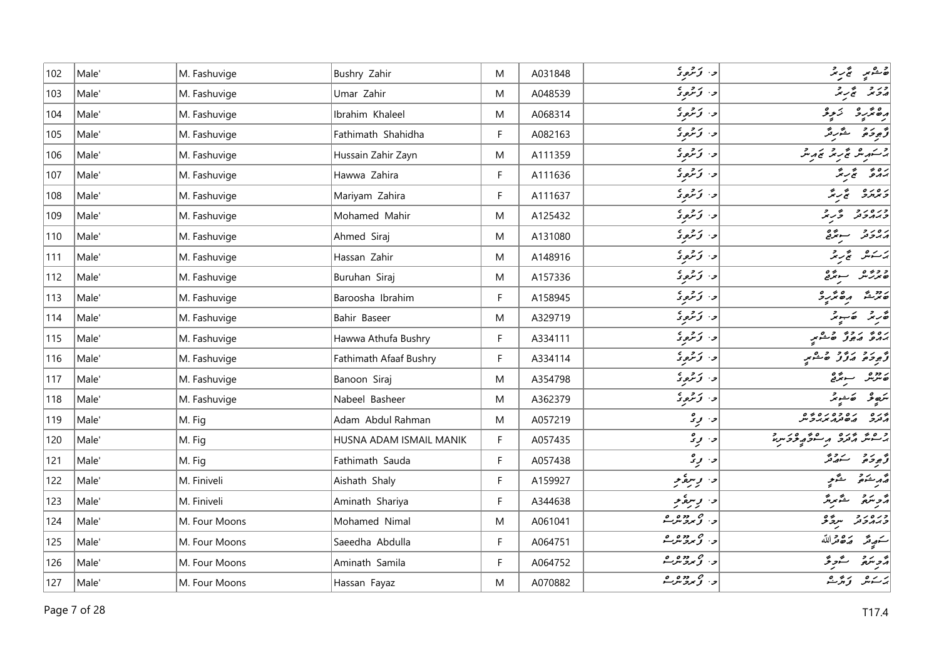| 102 | Male' | M. Fashuvige  | Bushry Zahir            | M           | A031848 | <mark>وس توثره و</mark> کا            | ە شەيدىن ئىمرىتى<br>مەشقىي ئىم                           |
|-----|-------|---------------|-------------------------|-------------|---------|---------------------------------------|----------------------------------------------------------|
| 103 | Male' | M. Fashuvige  | Umar Zahir              | M           | A048539 | و· تۆترە ئ                            | ە ئەتە ئەرىتە                                            |
| 104 | Male' | M. Fashuvige  | Ibrahim Khaleel         | M           | A068314 | و· تۆترەتى                            | ە ھېڭرىر<br>بر ھېڭرىرى<br>تزمونى                         |
| 105 | Male' | M. Fashuvige  | Fathimath Shahidha      | F.          | A082163 | وسوكروكا                              | وٌ و دَمَ شَرْرَدٌ                                       |
| 106 | Male' | M. Fashuvige  | Hussain Zahir Zayn      | M           | A111359 | و· تۆترەتى                            | بر سکور مگر محر محمد سر                                  |
| 107 | Male' | M. Fashuvige  | Hawwa Zahira            | $\mathsf F$ | A111636 | و· تۆترەتى                            | رە ئەرىر                                                 |
| 108 | Male' | M. Fashuvige  | Mariyam Zahira          | $\mathsf F$ | A111637 | و· توگرونگا                           | و وره ځرنگه                                              |
| 109 | Male' | M. Fashuvige  | Mohamed Mahir           | M           | A125432 | وسوكروكا                              | ورەرو ۋرىژ                                               |
| 110 | Male' | M. Fashuvige  | Ahmed Siraj             | M           | A131080 | و· تۆترەتى                            | رەرد سەرە                                                |
| 111 | Male' | M. Fashuvige  | Hassan Zahir            | M           | A148916 | و· تۆترەتى                            | ىر سەھرى ئىچ ب                                           |
| 112 | Male' | M. Fashuvige  | Buruhan Siraj           | M           | A157336 | و· تۆترەتى                            | و وه ۵<br><i>ه بر ژ</i> مر سوبرم                         |
| 113 | Male' | M. Fashuvige  | Baroosha Ibrahim        | F.          | A158945 | و· ۆترۈتى                             | ەترىش رەترىر                                             |
| 114 | Male' | M. Fashuvige  | Bahir Baseer            | M           | A329719 | وسوكروكا                              | قربر قب                                                  |
| 115 | Male' | M. Fashuvige  | Hawwa Athufa Bushry     | F           | A334111 | و· تۆتۈپى                             | $x^0 = x^0$<br>$x^0 = x^0$<br>$x^0 = x^0$<br>$x^0 = x^0$ |
| 116 | Male' | M. Fashuvige  | Fathimath Afaaf Bushry  | F           | A334114 | و· تۆترەتى                            | ژوده ړود ولمړ                                            |
| 117 | Male' | M. Fashuvige  | Banoon Siraj            | M           | A354798 | - توثر و ځ                            | ر دور در سوبر ده<br>ر                                    |
| 118 | Male' | M. Fashuvige  | Nabeel Basheer          | M           | A362379 | و· تۆترەپچ                            | سكرمو كالمشوشر                                           |
| 119 | Male' | M. Fig        | Adam Abdul Rahman       | M           | A057219 | و· وِگ                                | دره ره ده ده ده د                                        |
| 120 | Male' | M. Fig        | HUSNA ADAM ISMAIL MANIK | F           | A057435 | و· وي                                 | جمسكند كالمروج المستحصر والمراجح والمراجح                |
| 121 | Male' | M. Fig        | Fathimath Sauda         | F.          | A057438 | و· وي                                 | ۇبوۋۇ سەھە                                               |
| 122 | Male' | M. Finiveli   | Aishath Shaly           | F           | A159927 | د· وسرة و                             | و<br>وگرڪو ڪو                                            |
| 123 | Male' | M. Finiveli   | Aminath Shariya         | $\mathsf F$ | A344638 | د· وسره و                             | أروبترة فتحمير                                           |
| 124 | Male' | M. Four Moons | Mohamed Nimal           | M           | A061041 | د <sub>ز گو</sub> پروت <sub>ر</sub> و | و ر ه ر و<br>تر پر تر تر<br>سرد و                        |
| 125 | Male' | M. Four Moons | Saeedha Abdulla         | F           | A064751 | د ·   و   ود وړو په                   | سَمَدٍتَدَ سَ٥٥تَدَاللّه                                 |
| 126 | Male' | M. Four Moons | Aminath Samila          | F           | A064752 | د <sub>و ک</sub> ورو مرت              | أأويتم الشرقر                                            |
| 127 | Male' | M. Four Moons | Hassan Fayaz            | M           | A070882 | د ، تۇ بروتېرگ                        | بركستر وترشه                                             |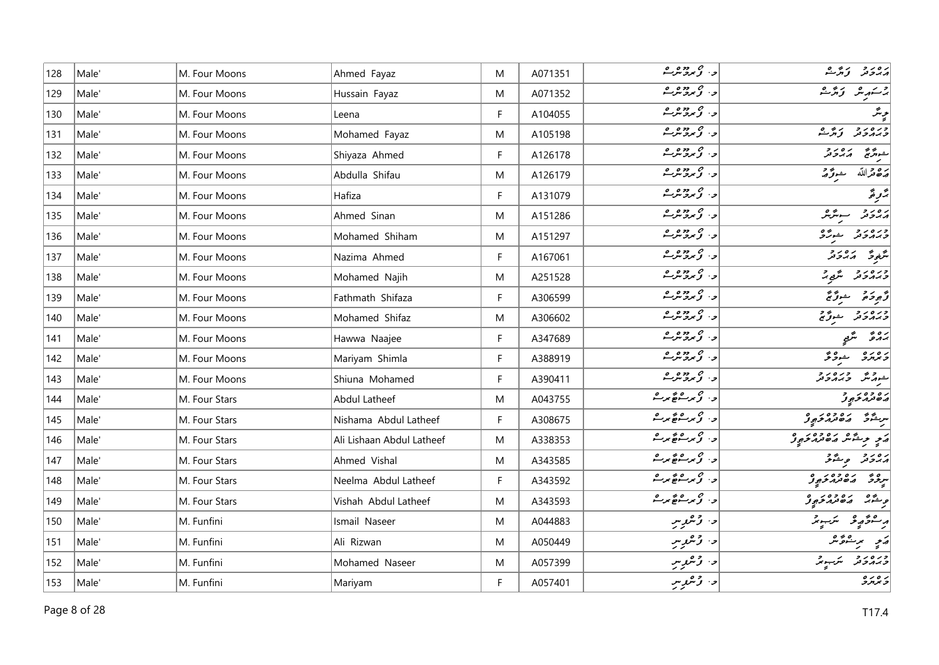| 128 | Male' | M. Four Moons | Ahmed Fayaz               | M  | A071351 | د ، گوند تر شرک                    | برەر دېر م                            |
|-----|-------|---------------|---------------------------|----|---------|------------------------------------|---------------------------------------|
| 129 | Male' | M. Four Moons | Hussain Fayaz             | M  | A071352 | د ، گوند تر شرک                    | برسكهر تكر وكراشة                     |
| 130 | Male' | M. Four Moons | Leena                     | F. | A104055 | د ، گوند تر شرک                    | مویٹر                                 |
| 131 | Male' | M. Four Moons | Mohamed Fayaz             | M  | A105198 | د ، گوند تر شرک                    | ورەرو روم                             |
| 132 | Male' | M. Four Moons | Shiyaza Ahmed             | F. | A126178 | د ، تۇ پروتىرگ                     | شوره بره بر و                         |
| 133 | Male' | M. Four Moons | Abdulla Shifau            | M  | A126179 | د · گۇ برد مەرگ                    | مَدْهُ مَرَّاللَّهُ شُوَرَّهُ         |
| 134 | Male' | M. Four Moons | Hafiza                    | F  | A131079 | ى ئۇ برىز تۈرگە                    | برٌوِيٌ                               |
| 135 | Male' | M. Four Moons | Ahmed Sinan               | M  | A151286 | د · گۇ پروترىش                     | ره رو سورش<br>مهروند سورش             |
| 136 | Male' | M. Four Moons | Mohamed Shiham            | M  | A151297 | د <sub>و نو</sub> رو شرمه          | ورەر دىيەر 2                          |
| 137 | Male' | M. Four Moons | Nazima Ahmed              | F  | A167061 | د ، تۇ پروتىر شە                   | شَعۡءِ شَہَ دَ م                      |
| 138 | Male' | M. Four Moons | Mohamed Najih             | M  | A251528 | د ، گوند تر شرک                    | ورەر د شمېر                           |
| 139 | Male' | M. Four Moons | Fathmath Shifaza          | F  | A306599 | د ، تۇ پروتىر شە                   | ژوده خرژهٔ                            |
| 140 | Male' | M. Four Moons | Mohamed Shifaz            | M  | A306602 | د ، گوسرچمېر شه                    | ورەرو شۆرى                            |
| 141 | Male' | M. Four Moons | Hawwa Naajee              | F. | A347689 | د ، تۇ پروتېر شە                   | پروڅ سگي <sub>ي</sub>                 |
| 142 | Male' | M. Four Moons | Mariyam Shimla            | F  | A388919 | د · گۇ برد مەرگ                    | دەرە جەدگە                            |
| 143 | Male' | M. Four Moons | Shiuna Mohamed            | F  | A390411 | د · گوند چې شرک                    | أحوارهم وره رو                        |
| 144 | Male' | M. Four Stars | Abdul Latheef             | M  | A043755 | -<br>د گرېمر شوځ بر ش              | ړه وه رېږ د                           |
| 145 | Male' | M. Four Stars | Nishama Abdul Latheef     | F. | A308675 | د · گرېمر شوځ بر شه                | سرچينې ده ده ده و                     |
| 146 | Male' | M. Four Stars | Ali Lishaan Abdul Latheef | M  | A338353 | ى ، ئۇ ئىرىشقۇ ئىرىش               | د و و شور ده ده در و                  |
| 147 | Male' | M. Four Stars | Ahmed Vishal              | M  | A343585 | چ، گۇيرىشقۇ برگ                    | ره رو موشور<br>مدونر موشور            |
| 148 | Male' | M. Four Stars | Neelma Abdul Latheef      | F  | A343592 | ى ، ئۇ ئىرىشۇ ھ <sup>ى</sup> تىرىش | وو دوه ده ده د                        |
| 149 | Male' | M. Four Stars | Vishah Abdul Latheef      | M  | A343593 | ى ، ئۇ ئىرىشقۇ ئىرىشە              | وشما ماه ده ده د مو                   |
| 150 | Male' | M. Funfini    | Ismail Naseer             | M  | A044883 | د. ۇش <sub>رىس</sub>               | ر جۇرپۇ سىيەتم                        |
| 151 | Male' | M. Funfini    | Ali Rizwan                | M  | A050449 | <i>د. و</i> مثوبير                 | ە ئو سىر ئەھەش                        |
| 152 | Male' | M. Funfini    | Mohamed Naseer            | M  | A057399 | <i>د. و</i> مثوبير                 | و ر ه ر د<br>تر پر تر تر<br>ىئەسىدىتى |
| 153 | Male' | M. Funfini    | Mariyam                   | F. | A057401 | د· ۇشمەسر                          | ر ه ر ه<br><del>د</del> بربر د        |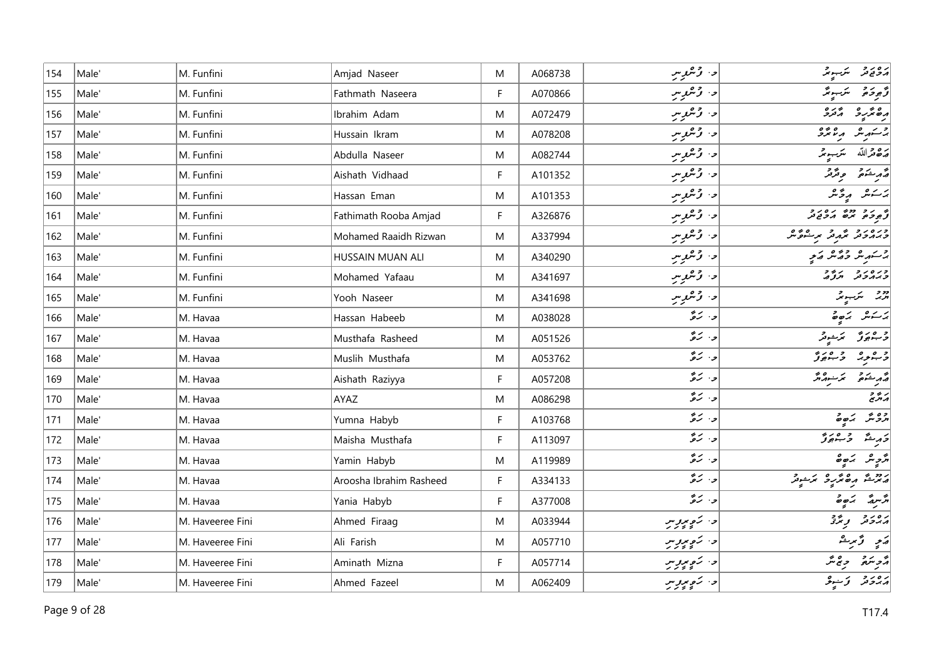| 154 | Male' | M. Funfini       | Amjad Naseer            | M           | A068738 | <mark>و. ۇشم</mark> وس       | رەرو شبەر                                              |
|-----|-------|------------------|-------------------------|-------------|---------|------------------------------|--------------------------------------------------------|
| 155 | Male' | M. Funfini       | Fathmath Naseera        | F           | A070866 | <mark>و. ۇشم</mark> وس       | أزودة الكسومة                                          |
| 156 | Male' | M. Funfini       | Ibrahim Adam            | M           | A072479 | د· ۇشموسيە                   |                                                        |
| 157 | Male' | M. Funfini       | Hussain Ikram           | M           | A078208 | د· ۇشمەيىر                   | جر شهر شهر مراجعه                                      |
| 158 | Male' | M. Funfini       | Abdulla Naseer          | M           | A082744 | <mark>و. ۇشم</mark> وس       | رە داللە سەببەتر                                       |
| 159 | Male' | M. Funfini       | Aishath Vidhaad         | F           | A101352 | <mark>د. ز</mark> نگویبر     | و د شوه و ترتر<br>د مشوه و ترتر                        |
| 160 | Male' | M. Funfini       | Hassan Eman             | M           | A101353 | د· ۇشمەسر                    | يزخش رومه                                              |
| 161 | Male' | M. Funfini       | Fathimath Rooba Amjad   | F           | A326876 | د· ۇشموسيە                   | و د د ده ده ده.                                        |
| 162 | Male' | M. Funfini       | Mohamed Raaidh Rizwan   | M           | A337994 | د. ۇشموس                     |                                                        |
| 163 | Male' | M. Funfini       | HUSSAIN MUAN ALI        | M           | A340290 | د· ۇشمەيىر                   | ج سئوپىگە جەمئىگە ئەيجە                                |
| 164 | Male' | M. Funfini       | Mohamed Yafaau          | M           | A341697 | د· ۇشموسيە                   | כנסני נביד<br>בגהבה תצה                                |
| 165 | Male' | M. Funfini       | Yooh Naseer             | M           | A341698 | <mark>و. ۇشم</mark> وس       | الارج الكرب الحرار<br>الريم الكرب                      |
| 166 | Male' | M. Havaa         | Hassan Habeeb           | M           | A038028 | و . رَوَّ                    | $\begin{array}{cc} 2 & 2 & 2 \\ 2 & 2 & 2 \end{array}$ |
| 167 | Male' | M. Havaa         | Musthafa Rasheed        | M           | A051526 | و کرگ                        | وجيع والمتحر والمتحر والمتحر                           |
| 168 | Male' | M. Havaa         | Muslih Musthafa         | M           | A053762 | و· رَگَّ                     | وجود وجود                                              |
| 169 | Male' | M. Havaa         | Aishath Raziyya         | F           | A057208 | و· رَگَّ                     |                                                        |
| 170 | Male' | M. Havaa         | AYAZ                    | M           | A086298 | و کرگ                        | $\frac{2}{3}$                                          |
| 171 | Male' | M. Havaa         | Yumna Habyb             | F           | A103768 | و· رَوَّ                     | وه پژوه<br>مروس پژوه                                   |
| 172 | Male' | M. Havaa         | Maisha Musthafa         | F           | A113097 | و کرگ                        | $rac{2}{38-2}$ $rac{2}{3}$                             |
| 173 | Male' | M. Havaa         | Yamin Habyb             | M           | A119989 | و· رَوَّ                     |                                                        |
| 174 | Male' | M. Havaa         | Aroosha Ibrahim Rasheed | F           | A334133 | و· رَوَّ                     |                                                        |
| 175 | Male' | M. Havaa         | Yania Habyb             | $\mathsf F$ | A377008 | و۰ ژوً                       | $rac{2}{600}$ $\frac{2}{3}$                            |
| 176 | Male' | M. Haveeree Fini | Ahmed Firaag            | M           | A033944 | و٠ رک <sub>ي</sub> پروس<br>و | رەرد پەر                                               |
| 177 | Male' | M. Haveeree Fini | Ali Farish              | M           | A057710 | و کے مروس<br>مستقبل          | ەر<br>مەر ئىرىد                                        |
| 178 | Male' | M. Haveeree Fini | Aminath Mizna           | F.          | A057714 | د کوبروس<br>موس              | أأدمنغ ولجنثر                                          |
| 179 | Male' | M. Haveeree Fini | Ahmed Fazeel            | M           | A062409 | د. ر <sub>کومونوس</sub><br>ا | أرەر ئىندى                                             |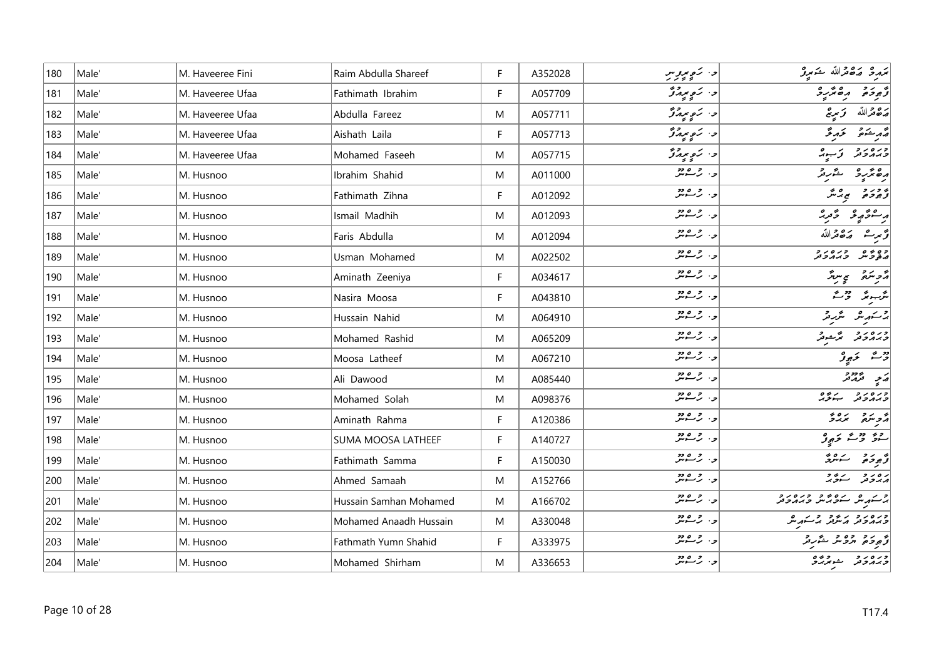| 180 | Male' | M. Haveeree Fini | Raim Abdulla Shareef      | F | A352028 | د کویږوس<br>د کویږ                         | بترمر وكامحا الله لمستمر والمحمد              |
|-----|-------|------------------|---------------------------|---|---------|--------------------------------------------|-----------------------------------------------|
| 181 | Male' | M. Haveeree Ufaa | Fathimath Ibrahim         | F | A057709 | د گوپېدۇ                                   |                                               |
| 182 | Male' | M. Haveeree Ufaa | Abdulla Fareez            | M | A057711 | <sub>و</sub> . <sub>سك</sub> وپرېز تو      | يرەقراللە ترىيەمچ                             |
| 183 | Male' | M. Haveeree Ufaa | Aishath Laila             | F | A057713 | د ، رَهٍ بِرِ ۾ ُوَ                        | أأرشنتم كرركز                                 |
| 184 | Male' | M. Haveeree Ufaa | Mohamed Faseeh            | M | A057715 | و <sub>`</sub> ر <sub>َموٍ مرٍ پرُوُ</sub> | ورەرو ترىپور                                  |
| 185 | Male' | M. Husnoo        | Ibrahim Shahid            | M | A011000 | د . ژینگر                                  |                                               |
| 186 | Male' | M. Husnoo        | Fathimath Zihna           | F | A012092 | د. ژگستر                                   | 724 7774                                      |
| 187 | Male' | M. Husnoo        | Ismail Madhih             | M | A012093 | د . ژینگر                                  | وستوفي ومورث                                  |
| 188 | Male' | M. Husnoo        | Faris Abdulla             | M | A012094 | د. ژگستر                                   | قرسية مكافقة الله                             |
| 189 | Male' | M. Husnoo        | Usman Mohamed             | M | A022502 | د . ژب میتر                                | כפים כנסנב<br>הבציע בגהבת                     |
| 190 | Male' | M. Husnoo        | Aminath Zeeniya           | F | A034617 | د. ژگستر                                   |                                               |
| 191 | Male' | M. Husnoo        | Nasira Moosa              | F | A043810 | د . ژگینژ                                  | شهبر والمشتر                                  |
| 192 | Male' | M. Husnoo        | Hussain Nahid             | M | A064910 | د . ژینگر                                  | 2سىمبەش مە <i>مرىق</i>                        |
| 193 | Male' | M. Husnoo        | Mohamed Rashid            | M | A065209 | د . ژب میتر                                | ورەرو گرىنونى                                 |
| 194 | Male' | M. Husnoo        | Moosa Latheef             | M | A067210 | د . ژگستر                                  | ورځ ځېږو                                      |
| 195 | Male' | M. Husnoo        | Ali Dawood                | M | A085440 | د گرگېنگر                                  | ر دور<br>موسیق                                |
| 196 | Male' | M. Husnoo        | Mohamed Solah             | M | A098376 | د. ژگستر                                   | ورەر دىردە<br>ۋىدەر قىرىد                     |
| 197 | Male' | M. Husnoo        | Aminath Rahma             | F | A120386 | د . ژگینژ                                  | أأزوبتره بمربرد                               |
| 198 | Male' | M. Husnoo        | <b>SUMA MOOSA LATHEEF</b> | F | A140727 | د . ژگستر                                  | ده ده م دور                                   |
| 199 | Male' | M. Husnoo        | Fathimath Samma           | F | A150030 | و، رژگینژ                                  | أزّوده سنتردّ                                 |
| 200 | Male' | M. Husnoo        | Ahmed Samaah              | M | A152766 | د گرگېنگر                                  | دەرو سەرە                                     |
| 201 | Male' | M. Husnoo        | Hussain Samhan Mohamed    | M | A166702 | د . ژینگر                                  | כ ה ת ת הם כנסגב<br>ג' האג יל הבגיע בגגבע     |
| 202 | Male' | M. Husnoo        | Mohamed Anaadh Hussain    | M | A330048 | د گرگېنگر                                  | ورەرو روو ويكر                                |
| 203 | Male' | M. Husnoo        | Fathmath Yumn Shahid      | F | A333975 | د . ژگستر                                  | و دو وه و شرگه                                |
| 204 | Male' | M. Husnoo        | Mohamed Shirham           | M | A336653 | و، رژگینژ                                  | وره رو در وره و<br><i>وی</i> رمرو در مشویزیگر |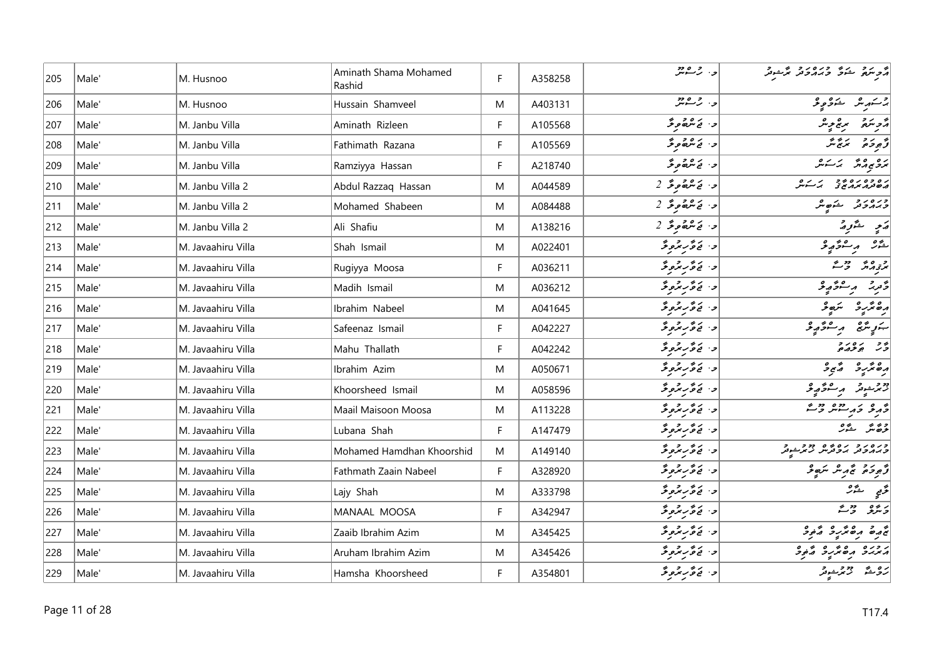| 205 | Male' | M. Husnoo          | Aminath Shama Mohamed<br>Rashid | F. | A358258 | و، رژگینژ                                                          | د سرد دره وره در محمد د                                   |
|-----|-------|--------------------|---------------------------------|----|---------|--------------------------------------------------------------------|-----------------------------------------------------------|
| 206 | Male' | M. Husnoo          | Hussain Shamveel                | M  | A403131 | د . ژگستر                                                          | ج سكور مركز و ديمونو المحرم و المحر                       |
| 207 | Male' | M. Janbu Villa     | Aminath Rizleen                 | F  | A105568 | ح ·   في مركة مو قر                                                | أثر وسمير<br>ىر چ مەير                                    |
| 208 | Male' | M. Janbu Villa     | Fathimath Razana                | F  | A105569 | و· في مركة فو قر                                                   | ۇي <sub>م</sub> وڭ ئىق ئى                                 |
| 209 | Male' | M. Janbu Villa     | Ramziyya Hassan                 | F  | A218740 | و· ئەنگەھ بوڭر                                                     | גַפּ דוריה ה' ה' ה                                        |
| 210 | Male' | M. Janbu Villa 2   | Abdul Razzaq Hassan             | M  | A044589 | - في شهر قرح 2                                                     | رە دەرەپ دىر<br>مەھەرمىدىرى ئىسكىس                        |
| 211 | Male' | M. Janbu Villa 2   | Mohamed Shabeen                 | M  | A084488 | $\frac{2}{\sqrt{2}}$ مَعْ مَعْصَوْمٌ                               | وره رو شکھ مگر                                            |
| 212 | Male' | M. Janbu Villa 2   | Ali Shafiu                      | M  | A138216 | $2 \stackrel{?}{\sim} 2 \stackrel{?}{\sim} 2 \stackrel{?}{\sim} 2$ | ړې شوه.<br>مړ                                             |
| 213 | Male' | M. Javaahiru Villa | Shah Ismail                     | M  | A022401 | د· ئ <sub>ە</sub> ئۇرىز <sub>ى</sub> ر ئى                          | يثوه برختوري                                              |
| 214 | Male' | M. Javaahiru Villa | Rugiyya Moosa                   | F. | A036211 | د· ئ <sub>ە</sub> ئۇرىز <sub>ى</sub> ر ئە                          | دومثر<br>ج <sub>ر تو</sub> مرگز<br>مر <sub>تحر</sub> مرگز |
| 215 | Male' | M. Javaahiru Villa | Madih Ismail                    | M  | A036212 | د· ئ <sub>ە</sub> ئۇرىمر <i>و</i> ئ                                | وسنتجمده<br>د ور ژ<br>ر                                   |
| 216 | Male' | M. Javaahiru Villa | Ibrahim Nabeel                  | M  | A041645 | و· ئۇ ئۇر ئر <sub>ى</sub> رۇ                                       | ە ھەترىرى<br>رەھترىرى<br>سكصوفر                           |
| 217 | Male' | M. Javaahiru Villa | Safeenaz Ismail                 | F. | A042227 | و· ئەۋرىزوڭ                                                        | ىبەرپەشى                                                  |
| 218 | Male' | M. Javaahiru Villa | Mahu Thallath                   | F. | A042242 | و· ئ <sub>ە</sub> ئۇرىز <sub>مو</sub> ئ                            | وو ده ده.                                                 |
| 219 | Male' | M. Javaahiru Villa | Ibrahim Azim                    | M  | A050671 | و ، ئۇ ئۇر بۇرۇ                                                    | ە ھەترىر <sup>ى</sup><br>د حج تر                          |
| 220 | Male' | M. Javaahiru Villa | Khoorsheed Ismail               | M  | A058596 | والمؤثر بمروغ                                                      |                                                           |
| 221 | Male' | M. Javaahiru Villa | Maail Maisoon Moosa             | M  | A113228 | و· ۇۇرىزوگە                                                        | دُرو دَرتشر وَتَ                                          |
| 222 | Male' | M. Javaahiru Villa | Lubana Shah                     | F  | A147479 | و· ۇۇرىزوگ                                                         | وَةَ شَرَرُ                                               |
| 223 | Male' | M. Javaahiru Villa | Mohamed Hamdhan Khoorshid       | M  | A149140 | و· ئ <sub>ە</sub> ئۇرىر بوق                                        | وره رو بره ده ودوند.<br>وبربروتر بروترس نهرشوتر           |
| 224 | Male' | M. Javaahiru Villa | Fathmath Zaain Nabeel           | F  | A328920 | و ، ئۇ ئۇرىر ئۆرگ                                                  | وتجوحهم بخمر مثر سكهوفر                                   |
| 225 | Male' | M. Javaahiru Villa | Lajy Shah                       | M  | A333798 | د· ئ <sub>ە</sub> ئۇرىز <sub>ى</sub> ر ئى                          | ستذر<br>  تخريج                                           |
| 226 | Male' | M. Javaahiru Villa | MANAAL MOOSA                    | F. | A342947 | و· ئۆڭرىتر <i>و</i> گە                                             | ىر ئەرە بىق ئە                                            |
| 227 | Male' | M. Javaahiru Villa | Zaaib Ibrahim Azim              | M  | A345425 | و· ئ <sub>ە</sub> ئۇرىز <sub>و</sub> ئ                             | 35000000000000                                            |
| 228 | Male' | M. Javaahiru Villa | Aruham Ibrahim Azim             | M  | A345426 | و· ئۇقرىر بورۇ                                                     |                                                           |
| 229 | Male' | M. Javaahiru Villa | Hamsha Khoorsheed               | F. | A354801 | و· ئۇ ئۇرىز <sub>ى</sub> ر ئى                                      | روث گريز                                                  |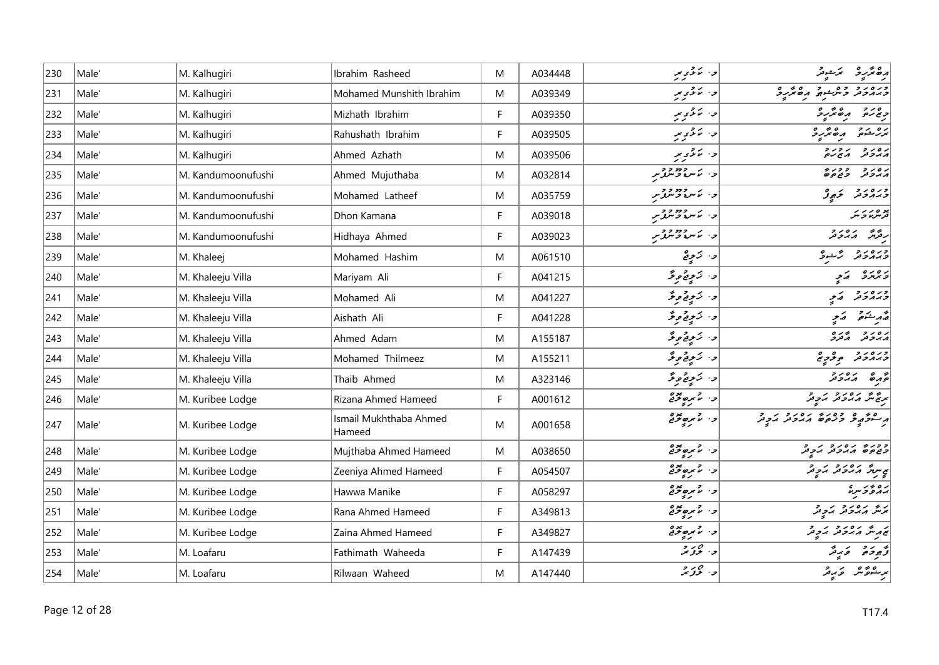| 230 | Male' | M. Kalhugiri       | Ibrahim Rasheed                  | M         | A034448 | <br> د· مَاڻگومير            | أرە ئۇر ئەس ئەسىر                                                         |
|-----|-------|--------------------|----------------------------------|-----------|---------|------------------------------|---------------------------------------------------------------------------|
| 231 | Male' | M. Kalhugiri       | Mohamed Munshith Ibrahim         | ${\sf M}$ | A039349 | <br> د· ئۈڭمۇمىر             | وره رو وه وه و ه وه برره<br><i>و بروونډ</i> و سر <sub>شوجو</sub> پره برره |
| 232 | Male' | M. Kalhugiri       | Mizhath Ibrahim                  | F         | A039350 | ج• ئۇڭمۇ ئىر                 | د وره د ه مدرد                                                            |
| 233 | Male' | M. Kalhugiri       | Rahushath Ibrahim                | F         | A039505 | <br> د· ئۈڭمى مە             | ەھ ئرىرى<br>ىر 9 مەر 2                                                    |
| 234 | Male' | M. Kalhugiri       | Ahmed Azhath                     | M         | A039506 | د . ئۈتۈپر<br>-              | رەر دىردە                                                                 |
| 235 | Male' | M. Kandumoonufushi | Ahmed Mujuthaba                  | M         | A032814 | و . كەس دەرى<br>ئ            | بر ٥ پر ۳<br>دربر <del>د</del> ر<br>3 د ۶ د کار<br>5 د م ه ه              |
| 236 | Male' | M. Kandumoonufushi | Mohamed Latheef                  | M         | A035759 | و . ئەسلام <i>مىڭ مە</i> ر   | ورەر دىرە                                                                 |
| 237 | Male' | M. Kandumoonufushi | Dhon Kamana                      | F         | A039018 | وستمس ووووح                  | بر <i>ہے دیگر</i>                                                         |
| 238 | Male' | M. Kandumoonufushi | Hidhaya Ahmed                    | F         | A039023 | و . ئەس دورور<br>د . ئاس دىس | رقرم محمد الرحم                                                           |
| 239 | Male' | M. Khaleej         | Mohamed Hashim                   | M         | A061510 | و· نزمٍ فع                   | ورەرو ئەدە                                                                |
| 240 | Male' | M. Khaleeju Villa  | Mariyam Ali                      | F         | A041215 | و· زَمٍّ فِي حَرِ مَحَّ      | أد وره مركز                                                               |
| 241 | Male' | M. Khaleeju Villa  | Mohamed Ali                      | ${\sf M}$ | A041227 | و· زَمٍّ فِي حَرِ مَحَّ      | ورەرو كەير                                                                |
| 242 | Male' | M. Khaleeju Villa  | Aishath Ali                      | F         | A041228 | <sub>و</sub> ، ئەمەتمۇمۇقم   | أقهر يشتمق أقدم                                                           |
| 243 | Male' | M. Khaleeju Villa  | Ahmed Adam                       | ${\sf M}$ | A155187 | و· زَمٍوةٍ وِمَّ             | ر ہ ر د درہ<br> גرونر مرمرو                                               |
| 244 | Male' | M. Khaleeju Villa  | Mohamed Thilmeez                 | M         | A155211 | و·  نزموٍفرمومٌ              | ورەرو ھۆدى                                                                |
| 245 | Male' | M. Khaleeju Villa  | Thaib Ahmed                      | M         | A323146 | و کی توقی و و گ              | حرمره برورد                                                               |
| 246 | Male' | M. Kuribee Lodge   | Rizana Ahmed Hameed              | F         | A001612 | د ، ما مره نژنځ              | بره شهر مرد و بر در د                                                     |
| 247 | Male' | M. Kuribee Lodge   | Ismail Mukhthaba Ahmed<br>Hameed | M         | A001658 | د ، مأمر صوفر قم             | و عظیم و دوره رورد در د                                                   |
| 248 | Male' | M. Kuribee Lodge   | Mujthaba Ahmed Hameed            | ${\sf M}$ | A038650 | وسيم مرحوفي                  | ככני נסנכ נכי<br>כנסים גגבת גבת                                           |
| 249 | Male' | M. Kuribee Lodge   | Zeeniya Ahmed Hameed             | F         | A054507 | و· بۇ برە ئۆت <sub>ە</sub>   | پی سرگ مکروفر کرد قر                                                      |
| 250 | Male' | M. Kuribee Lodge   | Hawwa Manike                     | F         | A058297 | و· بۇ برھ بوھ                | رە ئەربى <i>رى</i> ئا                                                     |
| 251 | Male' | M. Kuribee Lodge   | Rana Ahmed Hameed                | F         | A349813 | ح به مره نومي<br>مربح نومي   | ر م رور و بر و<br>برنگر م <i>. برو مر</i> برو مر                          |
| 252 | Male' | M. Kuribee Lodge   | Zaina Ahmed Hameed               | F         | A349827 | 250/2                        | پرېگر ډېرو پروې                                                           |
| 253 | Male' | M. Loafaru         | Fathimath Waheeda                | F         | A147439 | وسيحو تر                     | قَهْ وَمَنْ فَرَسَمَ اللَّهِ وَمَنْ                                       |
| 254 | Male' | M. Loafaru         | Rilwaan Waheed                   | ${\sf M}$ | A147440 | وسيحو تر                     | ىرىشۇش قەرىر                                                              |
|     |       |                    |                                  |           |         |                              |                                                                           |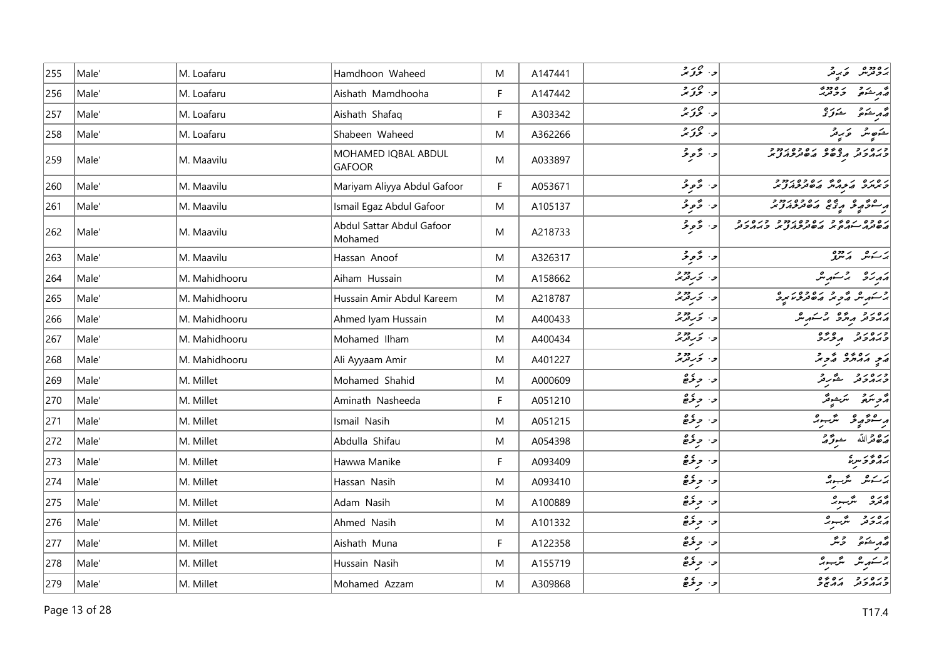| 255 | Male' | M. Loafaru    | Hamdhoon Waheed                      | M           | A147441 | <sub>د ب</sub> عزيز | رەددە كەبەر                                                                            |
|-----|-------|---------------|--------------------------------------|-------------|---------|---------------------|----------------------------------------------------------------------------------------|
| 256 | Male' | M. Loafaru    | Aishath Mamdhooha                    | F.          | A147442 | وسمح توسم           | ه مشهور بره دور<br>مهر شهور التاريخ                                                    |
| 257 | Male' | M. Loafaru    | Aishath Shafaq                       | F.          | A303342 | والمحوكم تر         | المرم المستورج المستورجي                                                               |
| 258 | Male' | M. Loafaru    | Shabeen Waheed                       | M           | A362266 | د . د د د           | أشكوه مثر وكرمر                                                                        |
| 259 | Male' | M. Maavilu    | MOHAMED IQBAL ABDUL<br><b>GAFOOR</b> | M           | A033897 | ار، ڈرِڈ            | כנסנד פטס נספסנדבד<br>במגבת גצ'ם ב גםתיבוצית                                           |
| 260 | Male' | M. Maavilu    | Mariyam Aliyya Abdul Gafoor          | F.          | A053671 | د· دُّورُدُ         | ג סגם ג סף גם כסגחובי<br>בי <i>ג</i> ו <i>נב הב</i> גות השת <i>יבה ב</i> יג            |
| 261 | Male' | M. Maavilu    | Ismail Egaz Abdul Gafoor             | M           | A105137 | و. د څو څه          | ת ביצק ב תְצֹם גם כסתבב                                                                |
| 262 | Male' | M. Maavilu    | Abdul Sattar Abdul Gafoor<br>Mohamed | M           | A218733 | ار، ئۇرۇ            | ג ם כ ם ג ם זיכ ג ם כ ם ג חב כ ג ם ג כ<br>ג ש צהוג יינות זה ה ש צהוג צ'ודה ב זהוג ב צי |
| 263 | Male' | M. Maavilu    | Hassan Anoof                         | M           | A326317 | وستح وقحه           | ير کے معر میں مرکزی                                                                    |
| 264 | Male' | M. Mahidhooru | Aiham Hussain                        | M           | A158662 | د ۰ ځریز پر         | أروره ومستمدهم                                                                         |
| 265 | Male' | M. Mahidhooru | Hussain Amir Abdul Kareem            | M           | A218787 | د ۰ د کرمتر پر      | י הודע הבית הסיתית הם ה                                                                |
| 266 | Male' | M. Mahidhooru | Ahmed Iyam Hussain                   | M           | A400433 | و• ځريندننه         | גפנה גיבר ג' איתי                                                                      |
| 267 | Male' | M. Mahidhooru | Mohamed Ilham                        | M           | A400434 | و کر ودير<br>م      | ورەرو ھۆرۈ                                                                             |
| 268 | Male' | M. Mahidhooru | Ali Ayyaam Amir                      | M           | A401227 | و کر وور            | - 2020 27                                                                              |
| 269 | Male' | M. Millet     | Mohamed Shahid                       | M           | A000609 | و· وتحظي            | ورەرو ھەرىر<br><i>وبەم</i> وتر ھەرىر                                                   |
| 270 | Male' | M. Millet     | Aminath Nasheeda                     | F.          | A051210 | والمحرفي            | أأدح مكرهم المسكر مكروم                                                                |
| 271 | Male' | M. Millet     | Ismail Nasih                         | M           | A051215 | والمتحرفيح          | وستوري شهور                                                                            |
| 272 | Male' | M. Millet     | Abdulla Shifau                       | M           | A054398 | والمتحرفيح          | بر25 اللّه<br>شەۋگە                                                                    |
| 273 | Male' | M. Millet     | Hawwa Manike                         | F           | A093409 | و· وتوقع            | رە پەر<br>بەھ بى سرىيا                                                                 |
| 274 | Male' | M. Millet     | Hassan Nasih                         | M           | A093410 | و· ولحظ             | بزسەيىتى<br>ىئرىبىدىر                                                                  |
| 275 | Male' | M. Millet     | Adam Nasih                           | M           | A100889 | و· وِوْھِ           | پور ہ<br>پر تعری<br>ىئزىبىدى                                                           |
| 276 | Male' | M. Millet     | Ahmed Nasih                          | M           | A101332 | و· وتوقع            | ىئرىبىدىر<br>بر 2 د تر<br>م <i>ر</i> کر تر                                             |
| 277 | Male' | M. Millet     | Aishath Muna                         | $\mathsf F$ | A122358 | و· وتوقع            | أقهر شده وتكر                                                                          |
| 278 | Male' | M. Millet     | Hussain Nasih                        | M           | A155719 | $rac{1}{2}$<br>     | برجستهر شرائعه المرائية                                                                |
| 279 | Male' | M. Millet     | Mohamed Azzam                        | M           | A309868 | و· وتوقع            | כנסנכ נסשם<br>כגמכת המשכ                                                               |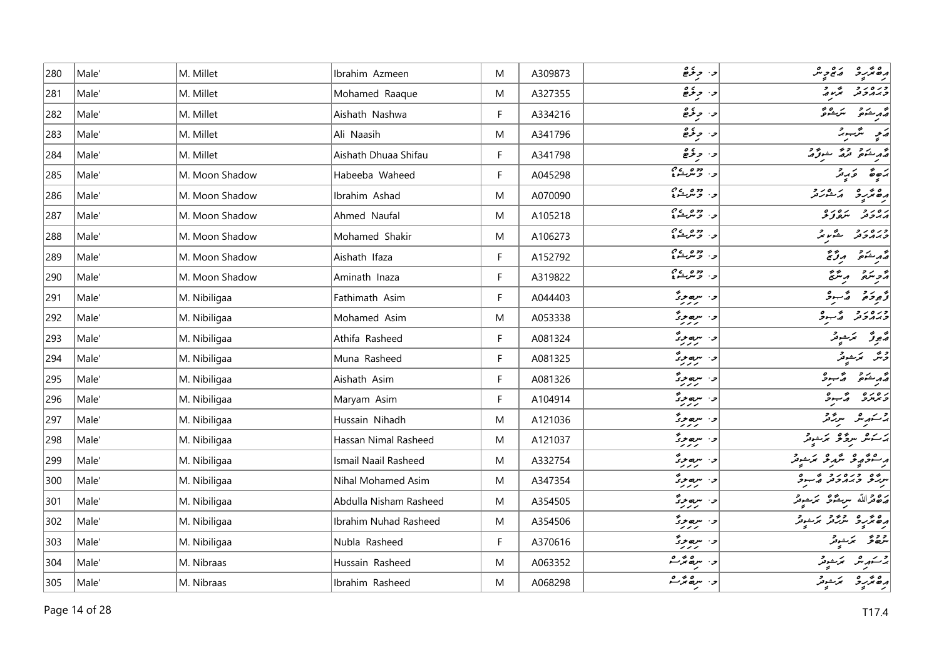| 280 | Male' | M. Millet      | Ibrahim Azmeen         | M  | A309873 | والمحرقي                     | ەتىم چە ئىر<br>ە ھەتمەر 2<br>س                                                                                 |
|-----|-------|----------------|------------------------|----|---------|------------------------------|----------------------------------------------------------------------------------------------------------------|
| 281 | Male' | M. Millet      | Mohamed Raaque         | M  | A327355 | و· وتوقع                     | و رە ر د<br>تر <i>پر پ</i> ر تر<br>برٌىدە                                                                      |
| 282 | Male' | M. Millet      | Aishath Nashwa         | F  | A334216 | و· وِوْھِ                    | سرشوش<br>ا پر مرکز دیگر<br>اور مرکز کردن                                                                       |
| 283 | Male' | M. Millet      | Ali Naasih             | M  | A341796 | و· وتوقع                     | ە ئەسىر ئەسىر ئەسىر ئەسىر ئەسىر ئەسىر ئەسىر ئەسىر ئەسىر ئەسىر ئەسىر ئەسىر ئەسىر ئەسەر ئەسەر ئەسەر ئەس<br>ئاسىر |
| 284 | Male' | M. Millet      | Aishath Dhuaa Shifau   | F  | A341798 | و· وتؤھ                      | ەرشۇ تەر شۆۋە                                                                                                  |
| 285 | Male' | M. Moon Shadow | Habeeba Waheed         | F  | A045298 | و . وه عرضو .                | بَرُهِ مَه وَبِرِ مَرْ                                                                                         |
| 286 | Male' | M. Moon Shadow | Ibrahim Ashad          | M  | A070090 | د . وه ده مي                 | ەھ ئۈر ۋ<br>پر شەرىتىر                                                                                         |
| 287 | Male' | M. Moon Shadow | Ahmed Naufal           | M  | A105218 | و . وه عرضو .                | پروژو<br>سرە ئەتر                                                                                              |
| 288 | Male' | M. Moon Shadow | Mohamed Shakir         | M  | A106273 | د . ده مردم<br>د . د سرشو پا | و ر ه ر د<br>د بر پر تر<br>يتمرسر                                                                              |
| 289 | Male' | M. Moon Shadow | Aishath Ifaza          | F  | A152792 | و . وه عرضو .                | لقرمر ينمرمح<br>ەرتى                                                                                           |
| 290 | Male' | M. Moon Shadow | Aminath Inaza          | F. | A319822 | و . وه عرضو .                | ەرىشى<br>ۇ بەر دې<br>مەر بىر بىر                                                                               |
| 291 | Male' | M. Nibiligaa   | Fathimath Asim         | F  | A044403 | $rac{z}{z}$                  | وتيسبوه<br>و څو څه د                                                                                           |
| 292 | Male' | M. Nibiligaa   | Mohamed Asim           | M  | A053338 | و . سرھ تر دُ                | رمح سبه ح<br>و ر ه ر د<br>د بر پر تر                                                                           |
| 293 | Male' | M. Nibiligaa   | Athifa Rasheed         | F  | A081324 | و. سرچورځ<br>د ر             | مەبور ئەسپىر                                                                                                   |
| 294 | Male' | M. Nibiligaa   | Muna Rasheed           | F  | A081325 | $550 - 5$                    | ر پیمبر<br>دیگر - <sub>مک</sub> شونگر                                                                          |
| 295 | Male' | M. Nibiligaa   | Aishath Asim           | F  | A081326 | $rac{a}{2}$                  | وكرشكة وكبيرة                                                                                                  |
| 296 | Male' | M. Nibiligaa   | Maryam Asim            | F. | A104914 | $rac{a}{s}$                  | ر ه ر ه<br>د بربرگ<br>رمحية سرحه                                                                               |
| 297 | Male' | M. Nibiligaa   | Hussain Nihadh         | M  | A121036 | $rac{a}{2}$                  | برحشر مرتزقه                                                                                                   |
| 298 | Male' | M. Nibiligaa   | Hassan Nimal Rasheed   | M  | A121037 | $rac{z}{z}$                  | ىكەش ئىرقە ئەھمەتە                                                                                             |
| 299 | Male' | M. Nibiligaa   | Ismail Naail Rasheed   | M  | A332754 | و· سرھ مرگ<br>,,,            | ر جۇم ئۇ سەر ئىلىمى                                                                                            |
| 300 | Male' | M. Nibiligaa   | Nihal Mohamed Asim     | M  | A347354 | $rac{a}{s}$                  | سرجو ورەرو ئەسوۋ                                                                                               |
| 301 | Male' | M. Nibiligaa   | Abdulla Nisham Rasheed | M  | A354505 | و . سر <i>ه و</i> گ<br>,,,   | رەۋاللە س <sub>ى</sub> شۇ <i>م</i> ەش <sub>ى</sub> تر                                                          |
| 302 | Male' | M. Nibiligaa   | Ibrahim Nuhad Rasheed  | M  | A354506 | و . سرحاوی<br>,,,            | رە ئ <sub>ىرى</sub> ئەر ئەر ئەسىم                                                                              |
| 303 | Male' | M. Nibiligaa   | Nubla Rasheed          | F  | A370616 | $rac{z}{\sqrt{z}}$           | رو دي.<br>سر <i>ه نگر پر ش</i> ونر                                                                             |
| 304 | Male' | M. Nibraas     | Hussain Rasheed        | M  | A063352 | و . سرھ بڑے                  | ج ڪرمر هي ڪرڪونگر                                                                                              |
| 305 | Male' | M. Nibraas     | Ibrahim Rasheed        | M  | A068298 | و. سرھ پڑے                   | رە ئۇرۇ بۇسونر                                                                                                 |
|     |       |                |                        |    |         |                              |                                                                                                                |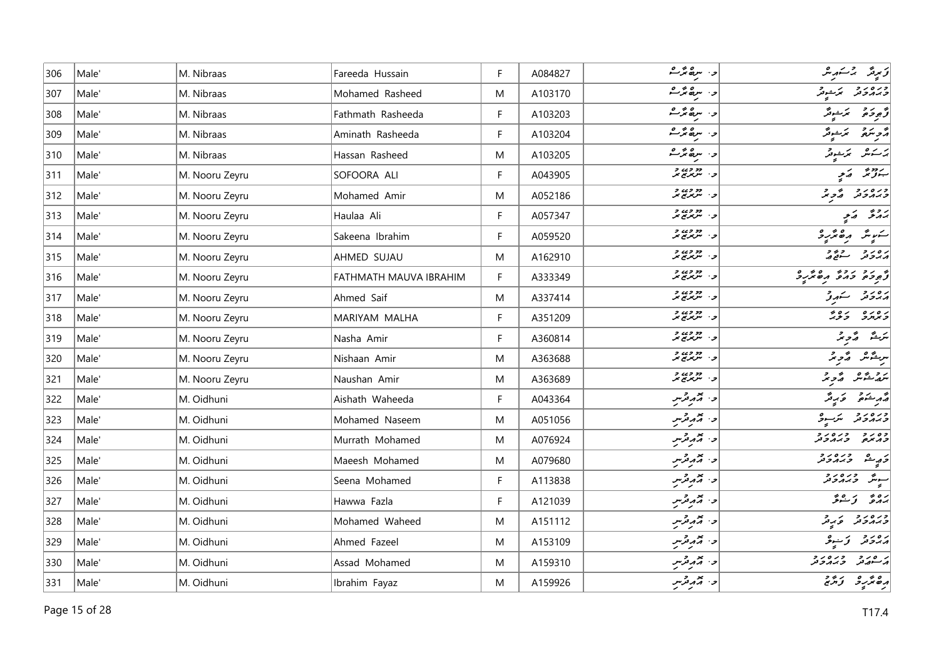| 306 | Male' | M. Nibraas     | Fareeda Hussain        | F           | A084827 | د . سرھ بڑے                           | ئەيدىگە كەسكىرىكە                          |
|-----|-------|----------------|------------------------|-------------|---------|---------------------------------------|--------------------------------------------|
| 307 | Male' | M. Nibraas     | Mohamed Rasheed        | M           | A103170 | د . سرچېر ک                           | ورەرو كەشپەر                               |
| 308 | Male' | M. Nibraas     | Fathmath Rasheeda      | $\mathsf F$ | A103203 | و . سرچ بر م                          | رُّمِوحَمُّ يَرَجُونَّرُ                   |
| 309 | Male' | M. Nibraas     | Aminath Rasheeda       | F           | A103204 | د . سرچېر شو                          | أأترجم أتراسي                              |
| 310 | Male' | M. Nibraas     | Hassan Rasheed         | M           | A103205 | و . سرچ پڑے                           | ىر<br>ئاسىسى ئىر ئىيەن                     |
| 311 | Male' | M. Nooru Zeyru | SOFOORA ALI            | $\mathsf F$ | A043905 | و . دو وړړ و<br>و . سرچر پر           | په دومو کرمو                               |
| 312 | Male' | M. Nooru Zeyru | Mohamed Amir           | M           | A052186 | כ י מכני ב<br>כ י ייתוב א             | בגםגב בבב                                  |
| 313 | Male' | M. Nooru Zeyru | Haulaa Ali             | $\mathsf F$ | A057347 | כי מכנים ב<br>כי מממשים               | پروژ کامی                                  |
| 314 | Male' | M. Nooru Zeyru | Sakeena Ibrahim        | F           | A059520 | و<br>و سربر بع مر                     | سكيد موثرة                                 |
| 315 | Male' | M. Nooru Zeyru | AHMED SUJAU            | M           | A162910 | כי מכנים ב<br>כי ייתו <i>ת י</i> ם זה | ره رح و و و<br>پرېدونر سو <sub>قت</sub> ون |
| 316 | Male' | M. Nooru Zeyru | FATHMATH MAUVA IBRAHIM | F           | A333349 | و . دو وړړ و<br>و . سرچر پر           |                                            |
| 317 | Male' | M. Nooru Zeyru | Ahmed Saif             | M           | A337414 | و . دو وړړ و<br>و . سرچر پر           | ړه رو شهرو                                 |
| 318 | Male' | M. Nooru Zeyru | MARIYAM MALHA          | F           | A351209 | و . دو وړړ و<br>و . سرچر پر           | ره ره ده و                                 |
| 319 | Male' | M. Nooru Zeyru | Nasha Amir             | $\mathsf F$ | A360814 | כי מבכני כ<br>כי ממשיב                | للرك الأوالا                               |
| 320 | Male' | M. Nooru Zeyru | Nishaan Amir           | M           | A363688 | و . دو وړ. و<br>و . سرچر پر           | سرڪشر اگرچر                                |
| 321 | Male' | M. Nooru Zeyru | Naushan Amir           | M           | A363689 | و<br>و سربر بع مر                     | بترويم ومجامر                              |
| 322 | Male' | M. Oidhuni     | Aishath Waheeda        | F           | A043364 | ح به میترو تعریب<br>مراجع             | أقهر شكافها والمحافية                      |
| 323 | Male' | M. Oidhuni     | Mohamed Naseem         | M           | A051056 | د به مجموعتر مبر<br>م                 | כנסנכ תוכל                                 |
| 324 | Male' | M. Oidhuni     | Murrath Mohamed        | M           | A076924 | ح به مجموعتر مبر<br>م                 | כם ג' כגם ג'ב<br>בו <i>ג'וים</i> בג'ובע    |
| 325 | Male' | M. Oidhuni     | Maeesh Mohamed         | M           | A079680 | ح به مجموعتر مبر<br>م                 | و ره ر د<br><i>و پر</i> و تر<br>  تەرەپىشە |
| 326 | Male' | M. Oidhuni     | Seena Mohamed          | F           | A113838 | ح <sup>.</sup> مجمد فرسر              | سېنگر وره د ور<br>په سر ورکړونو            |
| 327 | Male' | M. Oidhuni     | Hawwa Fazla            | F           | A121039 | ح به مجموعتر مبر<br>م                 | برەنجە ئەشتر                               |
| 328 | Male' | M. Oidhuni     | Mohamed Waheed         | M           | A151112 | ح به مجموعه<br>م                      | ورەرو كەيتر                                |
| 329 | Male' | M. Oidhuni     | Ahmed Fazeel           | M           | A153109 | ح به مجموعتر مبر<br>م                 | أرورو تخ بنواد                             |
| 330 | Male' | M. Oidhuni     | Assad Mohamed          | M           | A159310 | ح به مجموعتر مبر<br>م                 | و رە ر د<br><i>د بر</i> گرىر<br>بر 2 پر د  |
| 331 | Male' | M. Oidhuni     | Ibrahim Fayaz          | M           | A159926 | <i>و، مج</i> م قرمبر                  | دەنزىرو زىرە                               |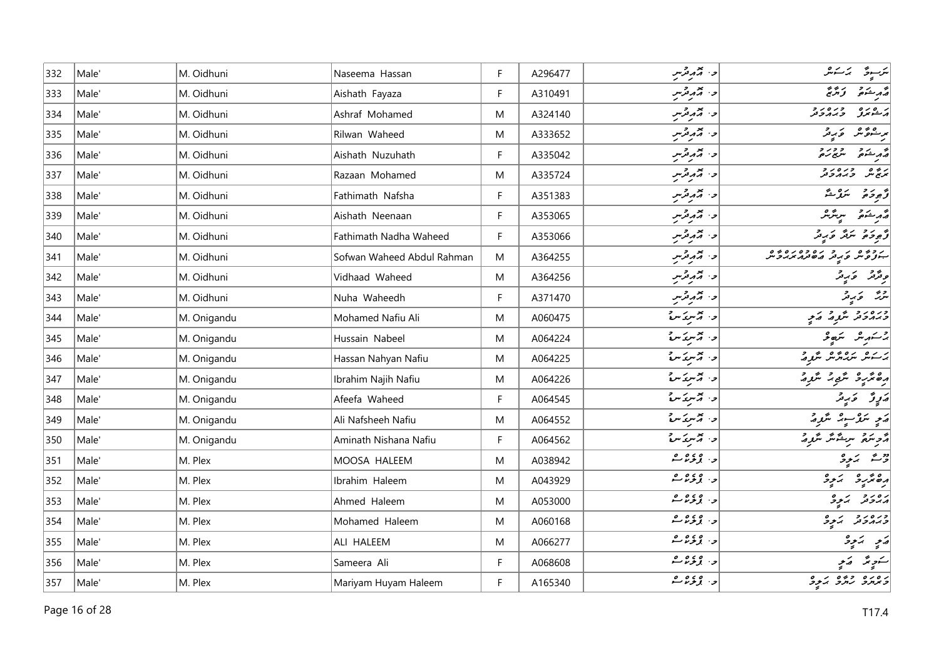| 332 | Male' | M. Oidhuni  | Naseema Hassan             | F  | A296477 | و به محمد فرسر<br>م                   | سَرَسودٌ<br>برسەنگە                                                                               |
|-----|-------|-------------|----------------------------|----|---------|---------------------------------------|---------------------------------------------------------------------------------------------------|
| 333 | Male' | M. Oidhuni  | Aishath Fayaza             | F  | A310491 | ح به مجموعتر مبر<br>م                 | وكروشكا والمراديم                                                                                 |
| 334 | Male' | M. Oidhuni  | Ashraf Mohamed             | M  | A324140 | ح به محمد قرمبر<br>م                  | و ر ه ر د<br>تر پر تر تر<br>ر ه مه بره<br>مرشه مربو                                               |
| 335 | Male' | M. Oidhuni  | Rilwan Waheed              | M  | A333652 | ح به میترو تعریب<br>م                 | برشوة شركة وبرقر                                                                                  |
| 336 | Male' | M. Oidhuni  | Aishath Nuzuhath           | F  | A335042 | ح <sup>.</sup> وجمه فرس               | د د بر د<br>سرچ ره<br>پ <sup>و</sup> پر ڪوي <sub>ج</sub>                                          |
| 337 | Male' | M. Oidhuni  | Razaan Mohamed             | M  | A335724 | د به محمد قرمبر<br>م                  | ر په دره دو                                                                                       |
| 338 | Male' | M. Oidhuni  | Fathimath Nafsha           | F  | A351383 | د به مرکز مر                          | ژ <sub>بودَه</sub> ترژی                                                                           |
| 339 | Male' | M. Oidhuni  | Aishath Neenaan            | F  | A353065 | د به مرکز مر                          | ە ئەسكەتى سرىترىتر                                                                                |
| 340 | Male' | M. Oidhuni  | Fathimath Nadha Waheed     | F. | A353066 | وسيم وقرمبر                           | تٌ و دَ " مَرْتُر کَ رِ تَر                                                                       |
| 341 | Male' | M. Oidhuni  | Sofwan Waheed Abdul Rahman | M  | A364255 | و• میمروژمیر                          | ת כשים קדק הסכסת סשים<br>היפציית פהית השיתה <i>ההכ</i> ית                                         |
| 342 | Male' | M. Oidhuni  | Vidhaad Waheed             | M  | A364256 | ح <sup>.</sup> وجمه فرس               | وترتر كرير                                                                                        |
| 343 | Male' | M. Oidhuni  | Nuha Waheedh               | F. | A371470 | ح <sup>.</sup> وجمه فرس               | ر ديگر توپه ديگر<br>سربر گري                                                                      |
| 344 | Male' | M. Onigandu | Mohamed Nafiu Ali          | M  | A060475 | د به میتونید در م                     |                                                                                                   |
| 345 | Male' | M. Onigandu | Hussain Nabeel             | M  | A064224 | د به مهندسه م                         | ورورو شرو کی<br>وردون شرو کی                                                                      |
| 346 | Male' | M. Onigandu | Hassan Nahyan Nafiu        | M  | A064225 | ح به میتونید میشید.<br>ح              | بر کے مردمہ مگرمہ                                                                                 |
| 347 | Male' | M. Onigandu | Ibrahim Najih Nafiu        | M  | A064226 | د به مهندسه مردم<br>م                 | رەشرە شەر شرە<br>رەشرە شەر                                                                        |
| 348 | Male' | M. Onigandu | Afeefa Waheed              | F  | A064545 | ح به مجمع میتمونی ملندمی <sup>2</sup> |                                                                                                   |
| 349 | Male' | M. Onigandu | Ali Nafsheeh Nafiu         | M  | A064552 | د به مجموعهٔ سوء <sup>م</sup>         | رَمِ سَرْوَجِدْ سَّرِرٌ                                                                           |
| 350 | Male' | M. Onigandu | Aminath Nishana Nafiu      | F. | A064562 | د به هم پرځاموړ مخ                    | أأدمكم سيشكر للرا                                                                                 |
| 351 | Male' | M. Plex     | MOOSA HALEEM               | M  | A038942 | د . و ده ه                            | $\overline{\begin{array}{ccc} \circ & \circ & \circ \\ \circ & \circ & \circ \end{array}}$        |
| 352 | Male' | M. Plex     | Ibrahim Haleem             | M  | A043929 | د . ود د ه                            | رەپرىر بەرە                                                                                       |
| 353 | Male' | M. Plex     | Ahmed Haleem               | M  | A053000 | د . ود د ه                            | رورد يکود                                                                                         |
| 354 | Male' | M. Plex     | Mohamed Haleem             | M  | A060168 | د ، بودرا ه                           | ورەرد رو                                                                                          |
| 355 | Male' | M. Plex     | ALI HALEEM                 | M  | A066277 | د . وړه په                            | $\begin{array}{cc} \mathcal{S}_{\mathcal{F}} \zeta & \mathcal{S}_{\mathcal{F}} \zeta \end{array}$ |
| 356 | Male' | M. Plex     | Sameera Ali                | F. | A068608 | د ، بوعرو ه                           | سكوند الكو                                                                                        |
| 357 | Male' | M. Plex     | Mariyam Huyam Haleem       | F  | A165340 | د . وړه په                            | נים כי כי התב                                                                                     |
|     |       |             |                            |    |         |                                       |                                                                                                   |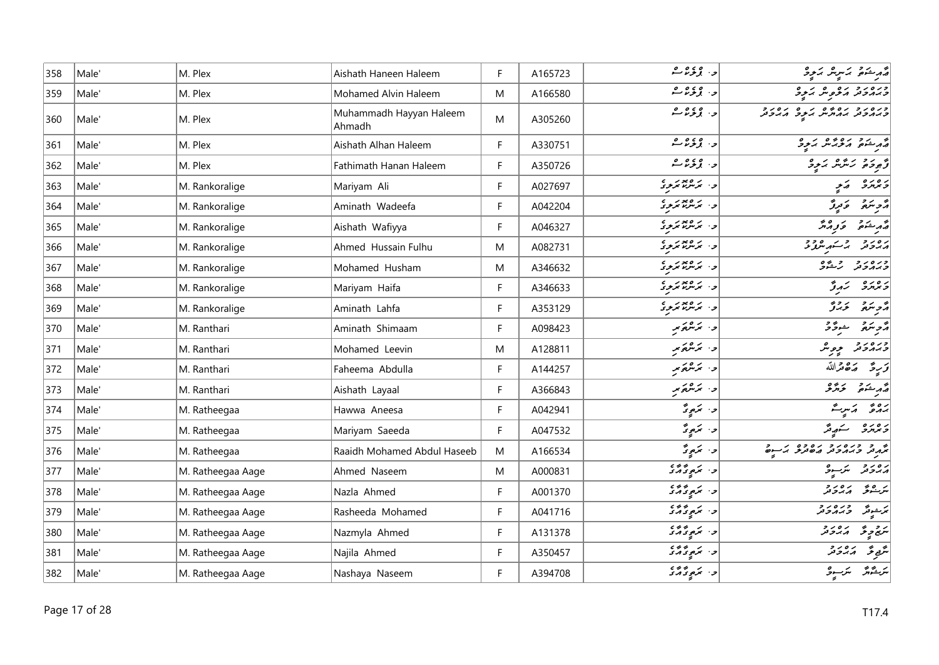| 358 | Male' | M. Plex           | Aishath Haneen Haleem             | F  | A165723 | <sub>ح</sub> . وی ه ع                         | مەر شەھ كەسپىك كەنچە       |
|-----|-------|-------------------|-----------------------------------|----|---------|-----------------------------------------------|----------------------------|
| 359 | Male' | M. Plex           | Mohamed Alvin Haleem              | M  | A166580 | د ، بودره شه                                  | ورەرو رومۇ. ئېچى           |
| 360 | Male' | M. Plex           | Muhammadh Hayyan Haleem<br>Ahmadh | M  | A305260 | <sub>ح</sub> . بۇ خەرم                        | כנסנד נספס ג'בר המכת       |
| 361 | Male' | M. Plex           | Aishath Alhan Haleem              | F  | A330751 | د ، بویزه شه                                  | ړ په د رو ده. ترو          |
| 362 | Male' | M. Plex           | Fathimath Hanan Haleem            | F. | A350726 | د ، بویزه شه                                  | وتجوحا كالمراكب بروح       |
| 363 | Male' | M. Rankoralige    | Mariyam Ali                       | F  | A027697 | وسيمرس يمرمون                                 | د وره در                   |
| 364 | Male' | M. Rankoralige    | Aminath Wadeefa                   | F  | A042204 | ر به ره بر ره بر<br>و · بر سرد بر دی          | أأروبتهم وكبرائه           |
| 365 | Male' | M. Rankoralige    | Aishath Wafiyya                   | F  | A046327 | وسيمرس يمرمون                                 | أأمر المشكوم وأوارهم       |
| 366 | Male' | M. Rankoralige    | Ahmed Hussain Fulhu               | M  | A082731 | د· بر معرض برد و                              | رەرد جەسەر مود             |
| 367 | Male' | M. Rankoralige    | Mohamed Husham                    | M  | A346632 | وسيمان يروي                                   | ورەر دىپە                  |
| 368 | Male' | M. Rankoralige    | Mariyam Haifa                     | F. | A346633 | وسيمان يوري                                   | دەرە ئەدى                  |
| 369 | Male' | M. Rankoralige    | Aminath Lahfa                     | F  | A353129 | و . نرمرد نروز                                | أرتجه يتروح                |
| 370 | Male' | M. Ranthari       | Aminath Shimaam                   | F  | A098423 | و· ئۈشھۇنىر                                   | دوسَعْ ہودًد               |
| 371 | Male' | M. Ranthari       | Mohamed Leevin                    | M  | A128811 | —<br> حسنه تمرین تعلیم سر                     | ورەرو وەپر                 |
| 372 | Male' | M. Ranthari       | Faheema Abdulla                   | F  | A144257 | و برمونز                                      | تريح رَصْعَراللَّهُ        |
| 373 | Male' | M. Ranthari       | Aishath Layaal                    | F  | A366843 | - ئەشھېر                                      | أشهر شده والمحارث          |
| 374 | Male' | M. Ratheegaa      | Hawwa Aneesa                      | F  | A042941 | و· ئۇمۇڭ                                      | رە ئەسرىگە                 |
| 375 | Male' | M. Ratheegaa      | Mariyam Saeeda                    | F  | A047532 | و- ئۈمچە ئە                                   | د ه د و گروگر              |
| 376 | Male' | M. Ratheegaa      | Raaidh Mohamed Abdul Haseeb       | M  | A166534 | ل سر مر<br>مربع و                             | ه د دره د د ده ده د د د    |
| 377 | Male' | M. Ratheegaa Aage | Ahmed Naseem                      | M  | A000831 | و٠ عرَمٍ و و و                                | پرورو سرگور                |
| 378 | Male' | M. Ratheegaa Aage | Nazla Ahmed                       | F  | A001370 | و٠ عرمٍ و و و                                 | ىر ئەق ئەرەر ئە            |
| 379 | Male' | M. Ratheegaa Aage | Rasheeda Mohamed                  | F  | A041716 | و٠ عرَمٍ و و و                                | بمشيش وبره برو             |
| 380 | Male' | M. Ratheegaa Aage | Nazmyla Ahmed                     | F  | A131378 | و٠ مگهچونده و                                 | يرج د پر مرکز در           |
| 381 | Male' | M. Ratheegaa Aage | Najila Ahmed                      | F  | A350457 | و . نر <sub>گ</sub> ونه و .<br>و . نرگونه د د | شَعِرَ شَرَ مَرَ مَرَ مَرَ |
| 382 | Male' | M. Ratheegaa Aage | Nashaya Naseem                    | F  | A394708 | و٠ برُوٍ وُ ٨ و                               | أُسْرَشَةٌ مَرْسِودٌ       |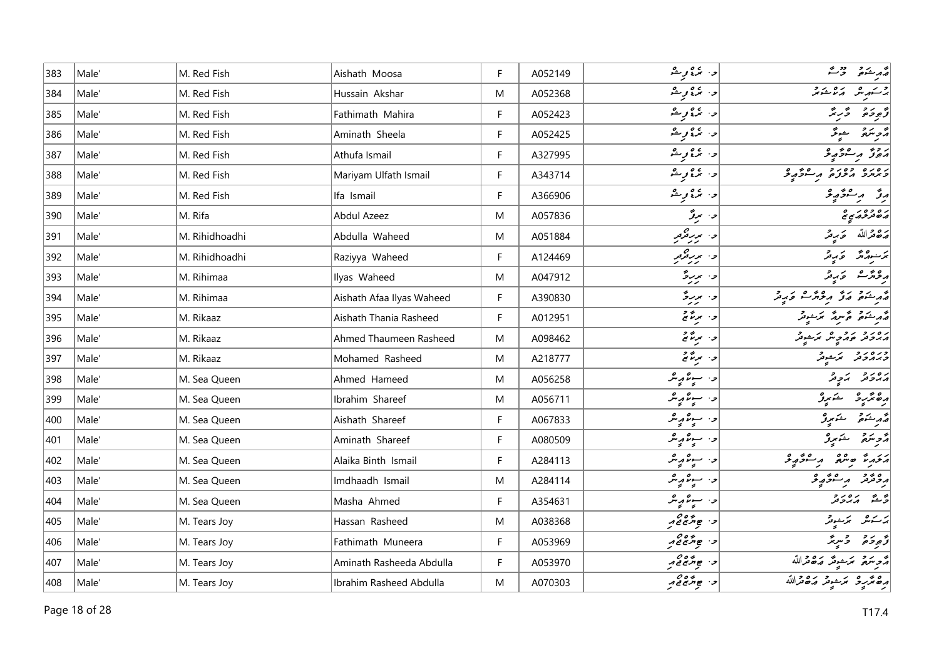| 383 | Male' | M. Red Fish    | Aishath Moosa             | F         | A052149 | <sub>و</sub> . بر؟ <sub>تو</sub> ڪ   | $\begin{pmatrix} 2 & 2 & 3 \\ 2 & 2 & 3 \end{pmatrix}$ |
|-----|-------|----------------|---------------------------|-----------|---------|--------------------------------------|--------------------------------------------------------|
| 384 | Male' | M. Red Fish    | Hussain Akshar            | M         | A052368 | <mark>و، ئرو<sub>گو</sub>ر</mark> شە | برسكر مركز مركز ويرجر                                  |
| 385 | Male' | M. Red Fish    | Fathimath Mahira          | F         | A052423 | د. بر؟ ديشه                          | وَجِوحَةً وَرِيمًا                                     |
| 386 | Male' | M. Red Fish    | Aminath Sheela            | F         | A052425 | د. نده ديم                           | لتمحر يئرة<br>شوقر                                     |
| 387 | Male' | M. Red Fish    | Athufa Ismail             | F         | A327995 | <br> د برورشو                        | أروء أرغو ويحر                                         |
| 388 | Male' | M. Red Fish    | Mariyam Ulfath Ismail     | F         | A343714 | د· تر؟ پر يژ                         | נים כי כי כי הייתות בי<br>בינונים והיבצים ונייתות בי   |
| 389 | Male' | M. Red Fish    | Ifa Ismail                | F         | A366906 | د. نگرو ویشه                         | أبرق وبالمحصوفة                                        |
| 390 | Male' | M. Rifa        | <b>Abdul Azeez</b>        | ${\sf M}$ | A057836 | و- بودٌ                              | ره <del>ده</del><br>د ه ترڅه په ې                      |
| 391 | Male' | M. Rihidhoadhi | Abdulla Waheed            | ${\sf M}$ | A051884 | اه . برروده<br>- برروده              | يرة قرالله عربه قر                                     |
| 392 | Male' | M. Rihidhoadhi | Raziyya Waheed            | F         | A124469 | اه . برروگور<br>- برروگور            | بمنسوه ممر محرمته                                      |
| 393 | Male' | M. Rihimaa     | Ilyas Waheed              | M         | A047912 | او، بوروٌ<br>سس <u>سس</u>            | و د در د در د                                          |
| 394 | Male' | M. Rihimaa     | Aishath Afaa Ilyas Waheed | F         | A390830 | او ، بورۇ                            | <i>مگر جنور مگر گردگر مگردگر</i>                       |
| 395 | Male' | M. Rikaaz      | Aishath Thania Rasheed    | F         | A012951 | $\frac{1}{6}$<br>= $\frac{1}{6}$     | و المستقدم و المستقرر المستوفر                         |
| 396 | Male' | M. Rikaaz      | Ahmed Thaumeen Rasheed    | ${\sf M}$ | A098462 | د. برند تح                           |                                                        |
| 397 | Male' | M. Rikaaz      | Mohamed Rasheed           | ${\sf M}$ | A218777 | اد برنامج<br>——                      | ورەرو بەيدۇ.                                           |
| 398 | Male' | M. Sea Queen   | Ahmed Hameed              | ${\sf M}$ | A056258 | ر . سور <sub>ا</sub> پر پر           | أرور و بروتر                                           |
| 399 | Male' | M. Sea Queen   | Ibrahim Shareef           | M         | A056711 | ر. سېن <sup>و</sup> ړ شر             | ەر ھەتمەر 2<br>ر<br>ے مور <sup>9</sup>                 |
| 400 | Male' | M. Sea Queen   | Aishath Shareef           | F         | A067833 | - سوړمه<br>د سوړم                    | و د شو شورو                                            |
| 401 | Male' | M. Sea Queen   | Aminath Shareef           | F         | A080509 | ر. سو <i>نام</i> ومگر                | ے مور <sup>9</sup><br>أرمز ترة                         |
| 402 | Male' | M. Sea Queen   | Alaika Binth Ismail       | F         | A284113 | ر. سو <i>نام</i> ومگر                |                                                        |
| 403 | Male' | M. Sea Queen   | Imdhaadh Ismail           | M         | A284114 | ر. سېن <sup>و</sup> ړ شر             | رە بور مەركەر                                          |
| 404 | Male' | M. Sea Queen   | Masha Ahmed               | F         | A354631 | ر. سېن <sup>و</sup> ړ شر             | د شکر د بر د د                                         |
| 405 | Male' | M. Tears Joy   | Hassan Rasheed            | ${\sf M}$ | A038368 |                                      | ىزىسەش ئىزىشوقر                                        |
| 406 | Male' | M. Tears Joy   | Fathimath Muneera         | F         | A053969 | כי שַּתְּ <sup>26</sup> ת            | أزًوجو وسبعًا                                          |
| 407 | Male' | M. Tears Joy   | Aminath Rasheeda Abdulla  | F         | A053970 | و· جِيرَ جي م                        | مُّ حِ سَمَّ سَنْ سَوْ سَمَّ مَنْ اللَّهُ              |
| 408 | Male' | M. Tears Joy   | Ibrahim Rasheed Abdulla   | ${\sf M}$ | A070303 | و· جِيرَ جي م                        | أرە ئەير ئىزىسى مەھىراللە                              |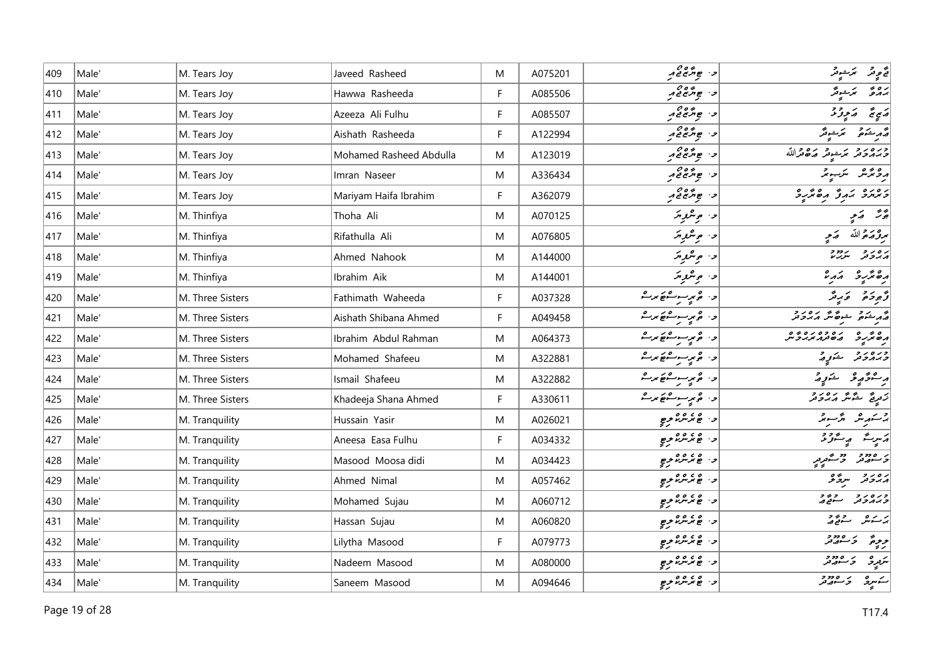| 409 | Male' | M. Tears Joy     | Javeed Rasheed          | M           | A075201 | و موجوع م                                                                                                                                                                                                             | قَوِيرُ - مَرْشِيرُ                                                                                                                                                                                                             |
|-----|-------|------------------|-------------------------|-------------|---------|-----------------------------------------------------------------------------------------------------------------------------------------------------------------------------------------------------------------------|---------------------------------------------------------------------------------------------------------------------------------------------------------------------------------------------------------------------------------|
| 410 | Male' | M. Tears Joy     | Hawwa Rasheeda          | F           | A085506 | و· جِيرَ جي م                                                                                                                                                                                                         | پره تخر سر سومگر                                                                                                                                                                                                                |
| 411 | Male' | M. Tears Joy     | Azeeza Ali Fulhu        | $\mathsf F$ | A085507 | و· جِيرَ جي م                                                                                                                                                                                                         | ە ئىم ئە ئەرەر ئە                                                                                                                                                                                                               |
| 412 | Male' | M. Tears Joy     | Aishath Rasheeda        | F           | A122994 | و موجوع م                                                                                                                                                                                                             | لأرشكم كرشوند                                                                                                                                                                                                                   |
| 413 | Male' | M. Tears Joy     | Mohamed Rasheed Abdulla | M           | A123019 | و. ھِيُّ جي م                                                                                                                                                                                                         | وره رو برور رودالله                                                                                                                                                                                                             |
| 414 | Male' | M. Tears Joy     | Imran Naseer            | M           | A336434 |                                                                                                                                                                                                                       | ەر ئەترىش سىر بىر                                                                                                                                                                                                               |
| 415 | Male' | M. Tears Joy     | Mariyam Haifa Ibrahim   | F           | A362079 | د. جوړځ څوړ                                                                                                                                                                                                           | כמתכ התך תפתיכ                                                                                                                                                                                                                  |
| 416 | Male' | M. Thinfiya      | Thoha Ali               | ${\sf M}$   | A070125 | د· موسمویز                                                                                                                                                                                                            | أعجزته الكامج                                                                                                                                                                                                                   |
| 417 | Male' | M. Thinfiya      | Rifathulla Ali          | ${\sf M}$   | A076805 | وسموهمريز                                                                                                                                                                                                             | مروضة والله ضعي                                                                                                                                                                                                                 |
| 418 | Male' | M. Thinfiya      | Ahmed Nahook            | M           | A144000 | د و هر شرو کر                                                                                                                                                                                                         | גם ג' ברביב<br>הגבוב הידיע                                                                                                                                                                                                      |
| 419 | Male' | M. Thinfiya      | Ibrahim Aik             | M           | A144001 | د· موسمویز                                                                                                                                                                                                            | مەھترىدە مەم                                                                                                                                                                                                                    |
| 420 | Male' | M. Three Sisters | Fathimath Waheeda       | F           | A037328 | و. ، هو موسوعة عرضة<br>                                                                                                                                                                                               | و ده و د مگر                                                                                                                                                                                                                    |
| 421 | Male' | M. Three Sisters | Aishath Shibana Ahmed   | F           | A049458 | <sub>ج∙</sub> م <sub>وسم</sub> ر موسوع <sub>مر</sub> م                                                                                                                                                                |                                                                                                                                                                                                                                 |
| 422 | Male' | M. Three Sisters | Ibrahim Abdul Rahman    | ${\sf M}$   | A064373 | د. ۋېرسوسۇغ برگ                                                                                                                                                                                                       |                                                                                                                                                                                                                                 |
| 423 | Male' | M. Three Sisters | Mohamed Shafeeu         | ${\sf M}$   | A322881 | <sub>ج∙</sub> م <sub>و</sub> ہر سوے محر کے م                                                                                                                                                                          | ورەر د شرك                                                                                                                                                                                                                      |
| 424 | Male' | M. Three Sisters | Ismail Shafeeu          | ${\sf M}$   | A322882 | ح مي محمد سر عرض من محمد من من من محمد من محمد من محمد من محمد من محمد من محمد الله من الله من الله<br>من الله من الله من الله من الله من الله من الله من الله من الله من الله من الله من الله من الله من الله من الل | أبر سادة مريدة المستويدة                                                                                                                                                                                                        |
| 425 | Male' | M. Three Sisters | Khadeeja Shana Ahmed    | $\mathsf F$ | A330611 |                                                                                                                                                                                                                       | تَرْمِيعٌ   شَدَّسٌ الْمَارَ وَ مَرْ                                                                                                                                                                                            |
| 426 | Male' | M. Tranquility   | Hussain Yasir           | M           | A026021 | ه ع ه ه ه ه<br>د ۰ ه مرس د د و                                                                                                                                                                                        | برسكور مركسوبر                                                                                                                                                                                                                  |
| 427 | Male' | M. Tranquility   | Aneesa Easa Fulhu       | F           | A034332 | و ، ھي شريع پر ھي                                                                                                                                                                                                     | پرسرے پر دور                                                                                                                                                                                                                    |
| 428 | Male' | M. Tranquility   | Masood Moosa didi       | M           | A034423 | د . ه عر شر د د ه .<br>ر                                                                                                                                                                                              | ر ه دد د دوره در در در در برانستان به در داران به دادن به دادن به دادن به دادن به دادن به دست به دادن به دست ک<br>در استان به دست به دست به دست به دست به دست به دست به دست به دست به دست به دست به دست به دست به دست به دست به |
| 429 | Male' | M. Tranquility   | Ahmed Nimal             | M           | A057462 | و . ھ <sub>ى</sub> ئەرەر بوھ<br>ب                                                                                                                                                                                     | رەرو سەمى                                                                                                                                                                                                                       |
| 430 | Male' | M. Tranquility   | Mohamed Sujau           | M           | A060712 | د . ه پرېژر د ه                                                                                                                                                                                                       | ور ور و دو و<br>تربر در دو سود بر                                                                                                                                                                                               |
| 431 | Male' | M. Tranquility   | Hassan Sujau            | ${\sf M}$   | A060820 | و ، ھ <sub>ى</sub> ئەرە دە<br>ب                                                                                                                                                                                       | ير کے مرگز کے مقام                                                                                                                                                                                                              |
| 432 | Male' | M. Tranquility   | Lilytha Masood          | F           | A079773 | و ، ھي شريع پور ج                                                                                                                                                                                                     | و وه د مورد د<br>در د کار در در د                                                                                                                                                                                               |
| 433 | Male' | M. Tranquility   | Nadeem Masood           | M           | A080000 | و. ع بر سر ديو                                                                                                                                                                                                        | شریده که موجود<br>سرمرگر که موجود                                                                                                                                                                                               |
| 434 | Male' | M. Tranquility   | Saneem Masood           | ${\sf M}$   | A094646 | د . ه عر سر رو .                                                                                                                                                                                                      | המתפי באימודי                                                                                                                                                                                                                   |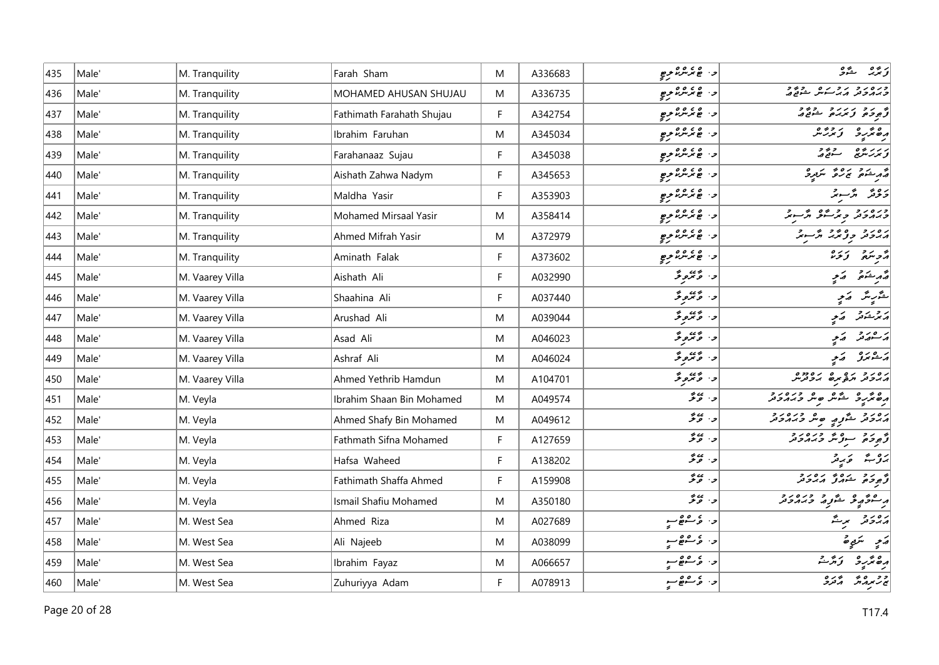| 435 | Male' | M. Tranquility  | Farah Sham                | M  | A336683 | و. ھ بر سر دی و ھ                 | تر پڑہ شور                                             |
|-----|-------|-----------------|---------------------------|----|---------|-----------------------------------|--------------------------------------------------------|
| 436 | Male' | M. Tranquility  | MOHAMED AHUSAN SHUJAU     | M  | A336735 | وسي عريد للمربع                   | ورەر و پروت مەر وە و                                   |
| 437 | Male' | M. Tranquility  | Fathimath Farahath Shujau | F. | A342754 | د . ه پرېږر د ه                   | وتجاوح والمركز والمحادثة                               |
| 438 | Male' | M. Tranquility  | Ibrahim Faruhan           | M  | A345034 | ه عمر در دیم دیم                  | مەھەر ئەرمەر                                           |
| 439 | Male' | M. Tranquility  | Farahanaaz Sujau          | F  | A345038 | و ، ھي شريع پر ھي                 | زىرىدە ھەدە                                            |
| 440 | Male' | M. Tranquility  | Aishath Zahwa Nadym       | F  | A345653 | و ، ھي پر سربر بريج               | وكرك والملح المحافيرة                                  |
| 441 | Male' | M. Tranquility  | Maldha Yasir              | F  | A353903 | و . ھ <sub>ى</sub> ئەمەر بىر<br>ئ | ووثر الرسائر                                           |
| 442 | Male' | M. Tranquility  | Mohamed Mirsaal Yasir     | M  | A358414 | وسي عريد مريوم موجع               | ورەرو دېرىكو كەسىر                                     |
| 443 | Male' | M. Tranquility  | Ahmed Mifrah Yasir        | M  | A372979 | و. ھي سر سر سر ج                  | برورد ووعربه مرسوبر                                    |
| 444 | Male' | M. Tranquility  | Aminath Falak             | F  | A373602 | و ، ھي شريع پي                    | أزويته زوه                                             |
| 445 | Male' | M. Vaarey Villa | Aishath Ali               | F  | A032990 | و· قۇتترەقى                       | وكرم شكوه وكالمح                                       |
| 446 | Male' | M. Vaarey Villa | Shaahina Ali              | F  | A037440 | و· وَتَرُوِدٌ                     | شَرْبِ مَنْ مَرْمٍ                                     |
| 447 | Male' | M. Vaarey Villa | Arushad Ali               | M  | A039044 | و· قۇتترەقى                       | أروحية أركم                                            |
| 448 | Male' | M. Vaarey Villa | Asad Ali                  | M  | A046023 | و· ۇتئوۋ                          | ړ هر ته کمبي                                           |
| 449 | Male' | M. Vaarey Villa | Ashraf Ali                | M  | A046024 | و· قۇتترەپچ                       | كالشاعرق الكافح                                        |
| 450 | Male' | M. Vaarey Villa | Ahmed Yethrib Hamdun      | M  | A104701 | و· قۇتترەق                        | , 2,0,000 <u>000 000 0</u><br>ג'ארי האיב אירי איר נגיע |
| 451 | Male' | M. Veyla        | Ibrahim Shaan Bin Mohamed | M  | A049574 | و· گاگ                            |                                                        |
| 452 | Male' | M. Veyla        | Ahmed Shafy Bin Mohamed   | M  | A049612 | و· گڏگ                            | ו 2,0,000 בינה בינה ב                                  |
| 453 | Male' | M. Veyla        | Fathmath Sifna Mohamed    | F  | A127659 | و· گاگ                            | توجود سومد ورەرد                                       |
| 454 | Male' | M. Veyla        | Hafsa Waheed              | F  | A138202 | و· گاگ                            | رەپ ئەرد                                               |
| 455 | Male' | M. Veyla        | Fathimath Shaffa Ahmed    | F  | A159908 | و· گاگ                            | و رو ده و ده د درو<br>ژبوده شمارژ اربرد تر             |
| 456 | Male' | M. Veyla        | Ismail Shafiu Mohamed     | M  | A350180 | و· گاگ                            | ر موځ په څو د محمد د د و                               |
| 457 | Male' | M. West Sea     | Ahmed Riza                | M  | A027689 | وسي صفح سو                        | أرور و مرت                                             |
| 458 | Male' | M. West Sea     | Ali Najeeb                | M  | A038099 | ر ، <sub>ع</sub> موھوب            | ر<br>مزید سر <sub>ک</sub> ج ځه                         |
| 459 | Male' | M. West Sea     | Ibrahim Fayaz             | M  | A066657 | -<br> - د م سقطان                 | رەپرىرى زېرىد                                          |
| 460 | Male' | M. West Sea     | Zuhuriyya Adam            | F  | A078913 | - ءُ شوه ب                        | ככ כב יינים                                            |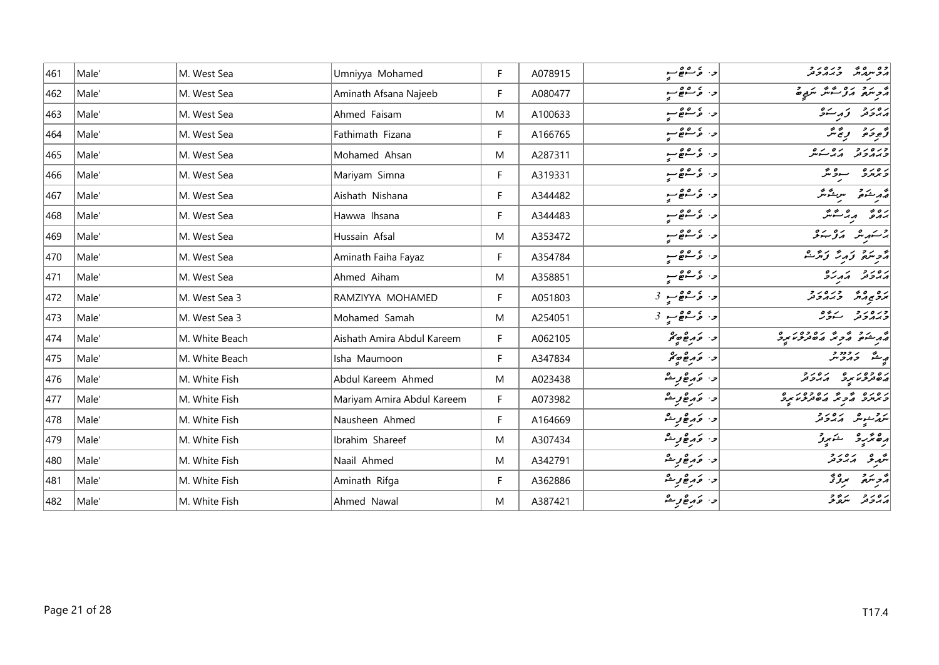| 461 | Male' | M. West Sea    | Umniyya Mohamed            | F | A078915 | د· ءُ شقط ہے                                                                                                         | כם כב כנסנב<br>הכיט <i>ו</i> ת כגובע                                                                 |
|-----|-------|----------------|----------------------------|---|---------|----------------------------------------------------------------------------------------------------------------------|------------------------------------------------------------------------------------------------------|
| 462 | Male' | M. West Sea    | Aminath Afsana Najeeb      | F | A080477 | $ \frac{0}{2}$ $ \frac{0}{2}$ $ \frac{0}{2}$                                                                         | أأتر يتزهر أتركز يتكبرها                                                                             |
| 463 | Male' | M. West Sea    | Ahmed Faisam               | M | A100633 | $ e^{0}$ $ e^{-}$ $\frac{1}{2}$                                                                                      | أرورو وكرسك                                                                                          |
| 464 | Male' | M. West Sea    | Fathimath Fizana           | F | A166765 | — ءُڪھ ب                                                                                                             | أواقبوخاته ويخامله                                                                                   |
| 465 | Male' | M. West Sea    | Mohamed Ahsan              | M | A287311 | $-8.26$                                                                                                              | ورەرو روسك                                                                                           |
| 466 | Male' | M. West Sea    | Mariyam Simna              | F | A319331 | -<br> - د عرصو صحيح                                                                                                  | ئە ئەرە<br>سوۋىتر                                                                                    |
| 467 | Male' | M. West Sea    | Aishath Nishana            | F | A344482 | $ \frac{0}{2}$ $ \frac{0}{2}$ $ \frac{0}{2}$                                                                         | سرىشە ئىر<br>ھ مرشتہ ہ<br>م <i>رگہ م</i> شتہ ہ                                                       |
| 468 | Male' | M. West Sea    | Hawwa Ihsana               | F | A344483 | وسي صفح سو                                                                                                           | برە ئەر ئەسەتكە                                                                                      |
| 469 | Male' | M. West Sea    | Hussain Afsal              | M | A353472 | -<br> د· غر شقط په                                                                                                   | 2 سەر شەر ئەۋسەۋ                                                                                     |
| 470 | Male' | M. West Sea    | Aminath Faiha Fayaz        | F | A354784 | $\frac{1}{2}$ $\frac{1}{2}$ $\frac{1}{2}$ $\frac{1}{2}$                                                              | أأزويته وربر واثريثه                                                                                 |
| 471 | Male' | M. West Sea    | Ahmed Aiham                | M | A358851 | د غ شقح پ                                                                                                            | 5.222                                                                                                |
| 472 | Male' | M. West Sea 3  | RAMZIYYA MOHAMED           | F | A051803 | $3 - 2 - 5$                                                                                                          | עם המי הניהניה                                                                                       |
| 473 | Male' | M. West Sea 3  | Mohamed Samah              | M | A254051 | $3 - 2 - 5$                                                                                                          | و رە ر د<br>تر پر پر تر                                                                              |
| 474 | Male' | M. White Beach | Aishath Amira Abdul Kareem | F | A062105 | $\left  \begin{array}{cc} \mathcal{S}_{\varphi} & \mathcal{S}_{\varphi} & \mathcal{S}_{\varphi} \end{array} \right $ | و من الله علم الله الله الله عليه الله عليه الله عليه الله عليه الله عليه الله عليه الله عليه الله ا |
| 475 | Male' | M. White Beach | Isha Maumoon               | F | A347834 | $\mathcal{S}$ $\varphi$ $\mathcal{S}$ $\mathcal{S}$ $\mathcal{S}$                                                    | أمر سنگ الاحدود و                                                                                    |
| 476 | Male' | M. White Fish  | Abdul Kareem Ahmed         | M | A023438 | و· ءَرِءُ رِ ۦ                                                                                                       | גם כפגם הפגב<br>השיניבטיבי ההכינ                                                                     |
| 477 | Male' | M. White Fish  | Mariyam Amira Abdul Kareem | F | A073982 | و· ءَرِءُرِ شُه                                                                                                      | ر وره محمد محمد محمد المحمد المحمد المحمد المحمد المحمد المحمد المحمد المحمد المحمد المحمد المحمد ال |
| 478 | Male' | M. White Fish  | Nausheen Ahmed             | F | A164669 | و· ءَرِءُ رِ َ و                                                                                                     | سَمَدُ شوس مَ مَدَ حَد                                                                               |
| 479 | Male' | M. White Fish  | Ibrahim Shareef            | M | A307434 | و· ءَرِءُ رِّءْ                                                                                                      | أرەنزىرو شىرز                                                                                        |
| 480 | Male' | M. White Fish  | Naail Ahmed                | M | A342791 | و· ءَرِءُ رِ َ و                                                                                                     | شمری پروژند                                                                                          |
| 481 | Male' | M. White Fish  | Aminath Rifga              | F | A362886 | و· قەرغۇرىشە                                                                                                         | أأزجر سنتعج المرواقي                                                                                 |
| 482 | Male' | M. White Fish  | Ahmed Nawal                | M | A387421 | د . ق پر قار څ                                                                                                       | رەر پەر                                                                                              |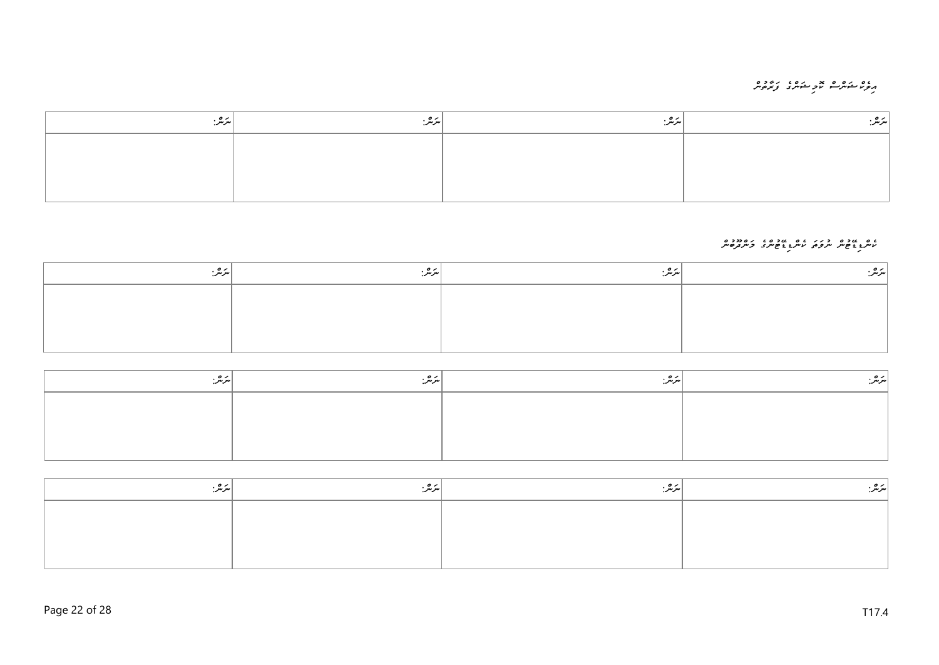## *w7qAn8m? sCw7mRo>u; wEw7mRw;sBo<*

| ' مرمر | 'يئرىثر: |
|--------|----------|
|        |          |
|        |          |
|        |          |

## *w7q9r@w7m> sCw7qHtFoFw7s; mAm=q7 w7qHtFoFw7s;*

| ىر تە | $\mathcal{O} \times$<br>$\sim$ | $\sim$<br>. . | لترنثر |
|-------|--------------------------------|---------------|--------|
|       |                                |               |        |
|       |                                |               |        |
|       |                                |               |        |

| يره | $^{\circ}$ | $\frac{2}{n}$ | $^{\circ}$<br>سرسر. |
|-----|------------|---------------|---------------------|
|     |            |               |                     |
|     |            |               |                     |
|     |            |               |                     |

| ىرتىر: | 。<br>سر سر | .,<br>مرسر |
|--------|------------|------------|
|        |            |            |
|        |            |            |
|        |            |            |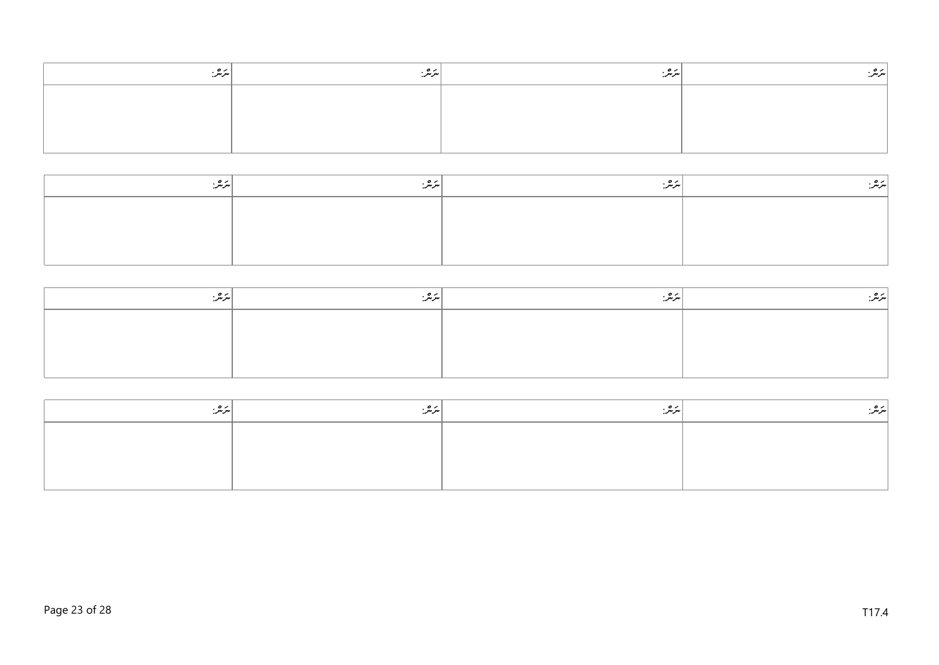| يزهر | $^{\circ}$ | ىئرىتر: |  |
|------|------------|---------|--|
|      |            |         |  |
|      |            |         |  |
|      |            |         |  |

| <sup>.</sup> سرسر. |  |
|--------------------|--|
|                    |  |
|                    |  |
|                    |  |

| ىئرىتر. | $\sim$ | ا بر هه. | لىرىش |
|---------|--------|----------|-------|
|         |        |          |       |
|         |        |          |       |
|         |        |          |       |

| يترمثر | $^{\circ}$ | ىر پىر |
|--------|------------|--------|
|        |            |        |
|        |            |        |
|        |            |        |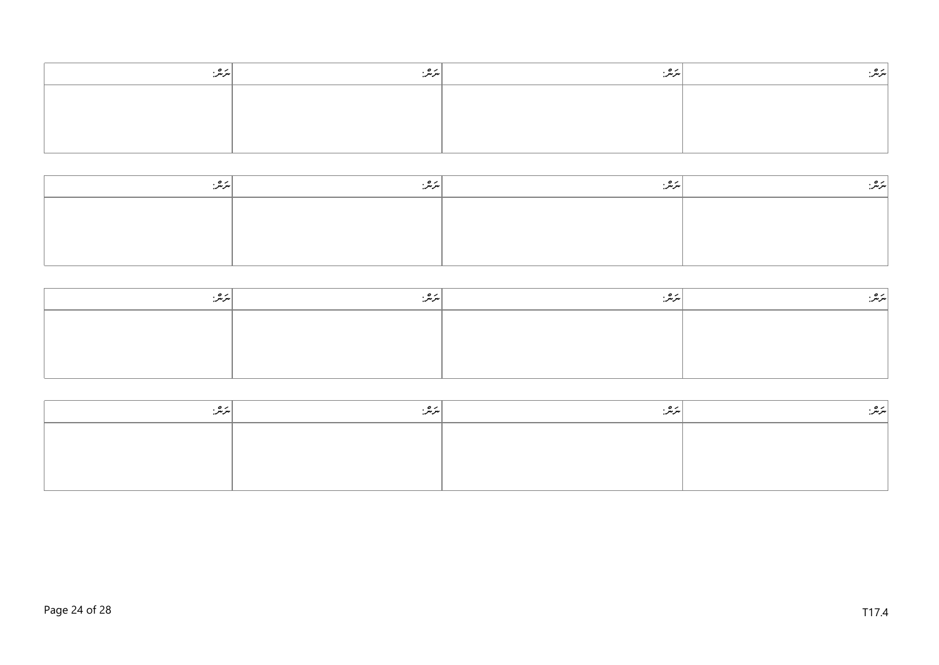| ير هو . | $\overline{\phantom{a}}$ | يرمر | اير هنه. |
|---------|--------------------------|------|----------|
|         |                          |      |          |
|         |                          |      |          |
|         |                          |      |          |

| ىئرىتى: | الترنثين | ا بر هر: | o <i>~</i><br>َ سرسر |
|---------|----------|----------|----------------------|
|         |          |          |                      |
|         |          |          |                      |
|         |          |          |                      |

| لترتكر: | الترنثر: | ابر همه: | الترنثر: |
|---------|----------|----------|----------|
|         |          |          |          |
|         |          |          |          |
|         |          |          |          |

|  | . ه |
|--|-----|
|  |     |
|  |     |
|  |     |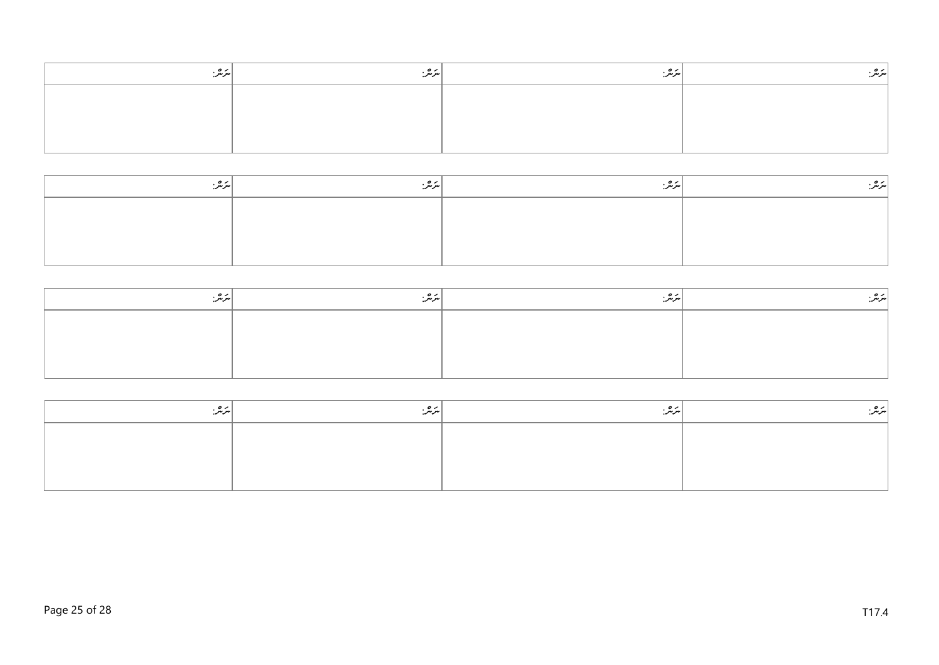| ير هو . | $\overline{\phantom{a}}$ | يرمر | اير هنه. |
|---------|--------------------------|------|----------|
|         |                          |      |          |
|         |                          |      |          |
|         |                          |      |          |

| ىئرىتى: | الترنثين | ا بر هر: | o <i>~</i><br>َ سرسر |
|---------|----------|----------|----------------------|
|         |          |          |                      |
|         |          |          |                      |
|         |          |          |                      |

| لترتكر: | الترنثر: | ابر همه: | الترنثر: |
|---------|----------|----------|----------|
|         |          |          |          |
|         |          |          |          |
|         |          |          |          |

|  | . ه |
|--|-----|
|  |     |
|  |     |
|  |     |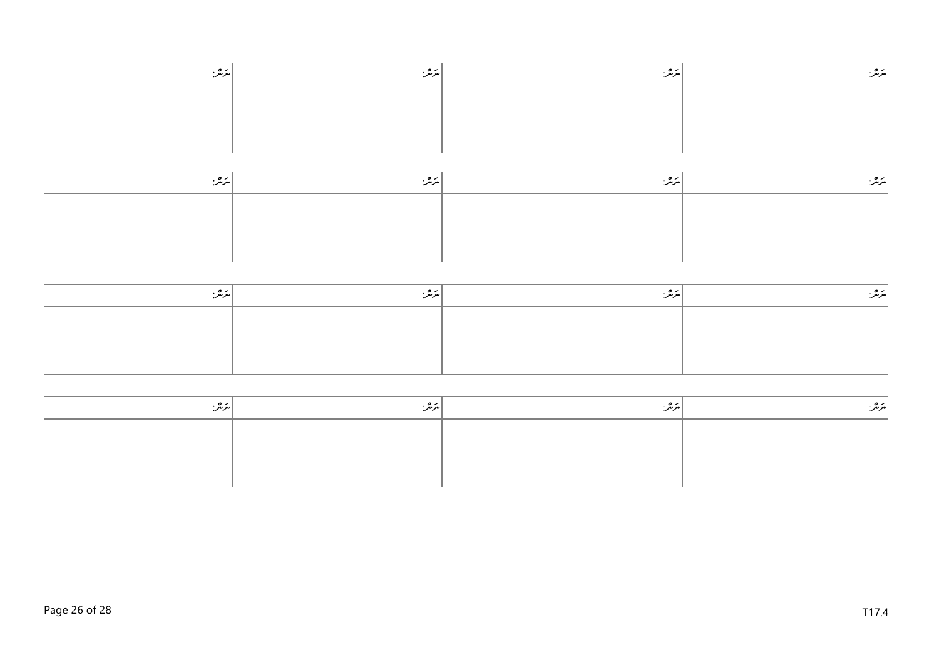| $\cdot$ | ο. | $\frac{\circ}{\cdot}$ | $\sim$<br>سرسر |
|---------|----|-----------------------|----------------|
|         |    |                       |                |
|         |    |                       |                |
|         |    |                       |                |

| يريثن | ' سرسر . |  |
|-------|----------|--|
|       |          |  |
|       |          |  |
|       |          |  |

| بر ه | 。 | $\sim$<br>َ سومس |  |
|------|---|------------------|--|
|      |   |                  |  |
|      |   |                  |  |
|      |   |                  |  |

| 。<br>. س | ىرىىر |  |
|----------|-------|--|
|          |       |  |
|          |       |  |
|          |       |  |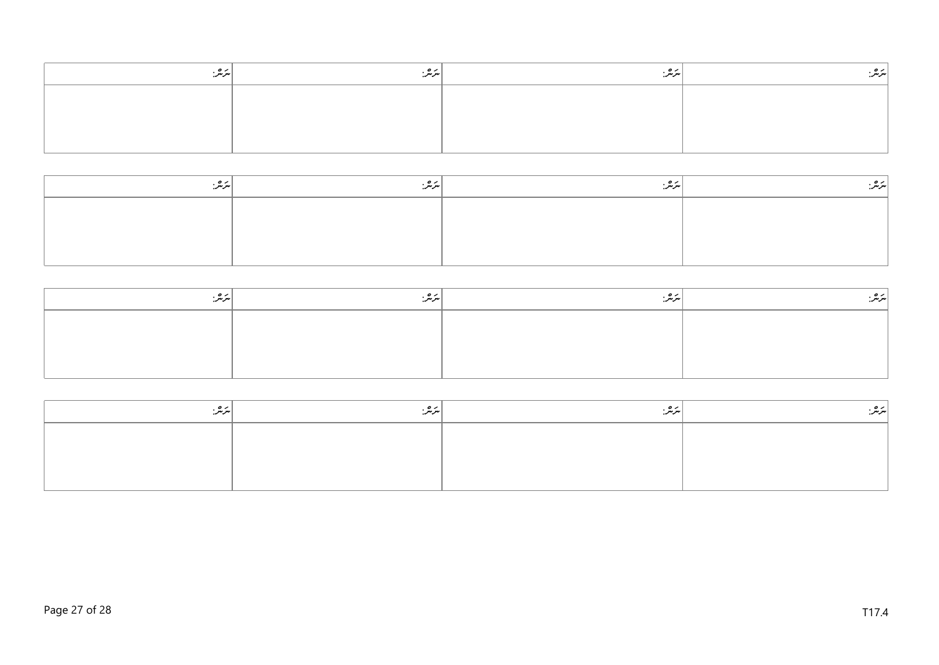| ير هو . | $\overline{\phantom{a}}$ | يرمر | لتزمثن |
|---------|--------------------------|------|--------|
|         |                          |      |        |
|         |                          |      |        |
|         |                          |      |        |

| ئىرتىر: | $\sim$<br>ا سرسر . | يئرمثر | o . |
|---------|--------------------|--------|-----|
|         |                    |        |     |
|         |                    |        |     |
|         |                    |        |     |

| الترنثر: | ' مرتكز: | الترنثر: | .,<br>سرسر. |
|----------|----------|----------|-------------|
|          |          |          |             |
|          |          |          |             |
|          |          |          |             |

|  | . ه |
|--|-----|
|  |     |
|  |     |
|  |     |